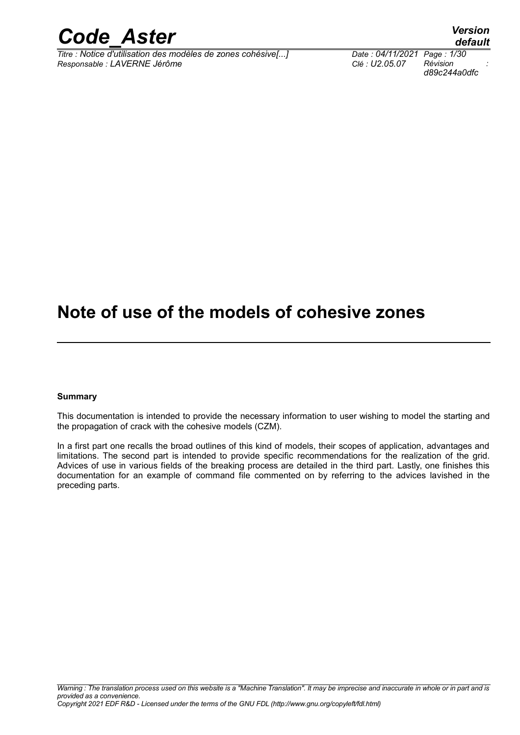

*Titre : Notice d'utilisation des modèles de zones cohésive[...] Date : 04/11/2021 Page : 1/30 Responsable : LAVERNE Jérôme Clé : U2.05.07 Révision :*

*d89c244a0dfc*

# **Note of use of the models of cohesive zones**

#### **Summary**

This documentation is intended to provide the necessary information to user wishing to model the starting and the propagation of crack with the cohesive models (CZM).

In a first part one recalls the broad outlines of this kind of models, their scopes of application, advantages and limitations. The second part is intended to provide specific recommendations for the realization of the grid. Advices of use in various fields of the breaking process are detailed in the third part. Lastly, one finishes this documentation for an example of command file commented on by referring to the advices lavished in the preceding parts.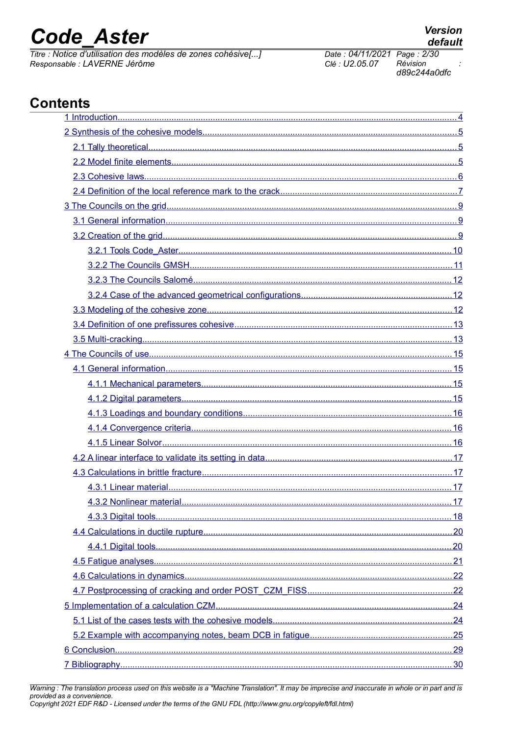# **Code Aster**

Titre : Notice d'utilisation des modèles de zones cohésive[...] Responsable : LAVERNE Jérôme

# **Contents**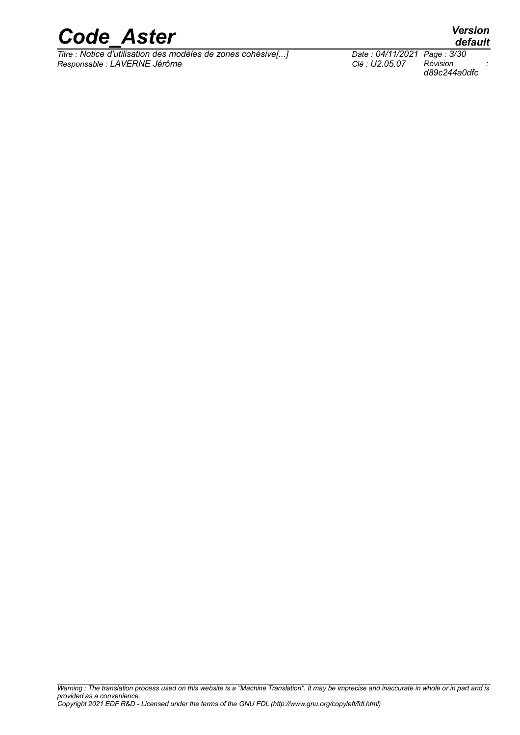

*Titre : Notice d'utilisation des modèles de zones cohésive[...] Date : 04/11/2021 Page : 3/30*  $Responsible : LAVERNE Jérôme$ 

*default d89c244a0dfc*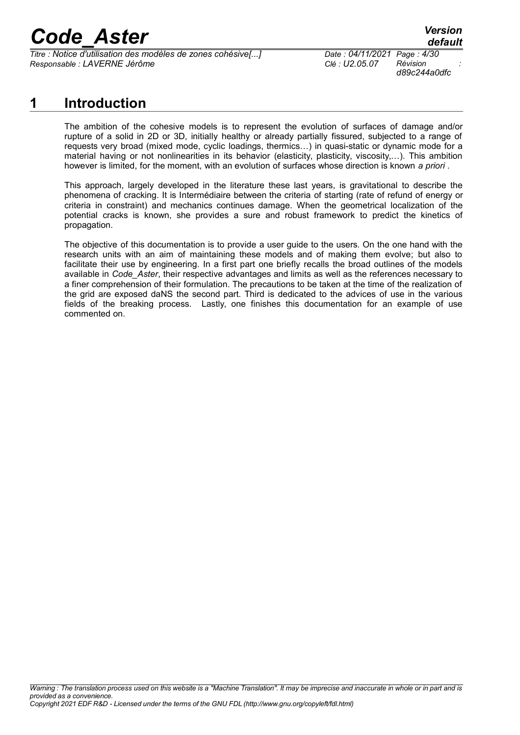*Titre : Notice d'utilisation des modèles de zones cohésive[...] Date : 04/11/2021 Page : 4/30 Responsable : LAVERNE Jérôme Clé : U2.05.07 Révision :*

*d89c244a0dfc*

### **1 Introduction**

<span id="page-3-0"></span>The ambition of the cohesive models is to represent the evolution of surfaces of damage and/or rupture of a solid in 2D or 3D, initially healthy or already partially fissured, subjected to a range of requests very broad (mixed mode, cyclic loadings, thermics…) in quasi-static or dynamic mode for a material having or not nonlinearities in its behavior (elasticity, plasticity, viscosity,…). This ambition however is limited, for the moment, with an evolution of surfaces whose direction is known *a priori* .

This approach, largely developed in the literature these last years, is gravitational to describe the phenomena of cracking. It is Intermédiaire between the criteria of starting (rate of refund of energy or criteria in constraint) and mechanics continues damage. When the geometrical localization of the potential cracks is known, she provides a sure and robust framework to predict the kinetics of propagation.

The objective of this documentation is to provide a user guide to the users. On the one hand with the research units with an aim of maintaining these models and of making them evolve; but also to facilitate their use by engineering. In a first part one briefly recalls the broad outlines of the models available in *Code\_Aster*, their respective advantages and limits as well as the references necessary to a finer comprehension of their formulation. The precautions to be taken at the time of the realization of the grid are exposed daNS the second part. Third is dedicated to the advices of use in the various fields of the breaking process. Lastly, one finishes this documentation for an example of use commented on.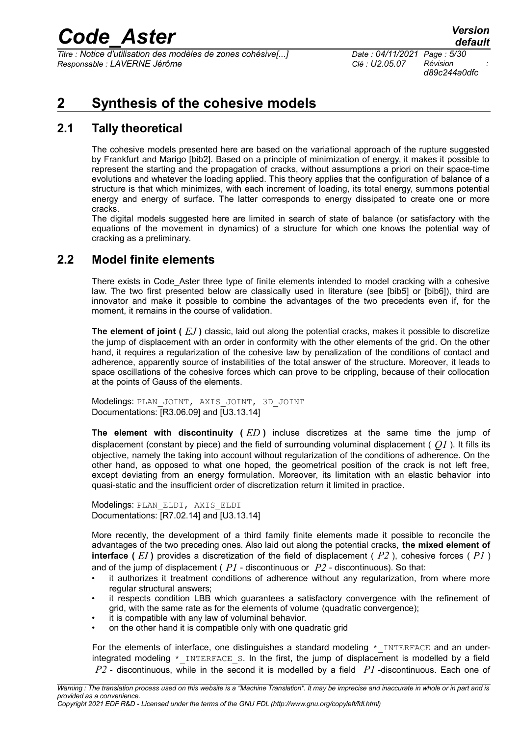*Titre : Notice d'utilisation des modèles de zones cohésive[...] Date : 04/11/2021 Page : 5/30 Responsable : LAVERNE Jérôme Clé : U2.05.07 Révision :*

*d89c244a0dfc*

# <span id="page-4-2"></span>**2 Synthesis of the cohesive models**

### **2.1 Tally theoretical**

<span id="page-4-1"></span>The cohesive models presented here are based on the variational approach of the rupture suggested by Frankfurt and Marigo [bib2]. Based on a principle of minimization of energy, it makes it possible to represent the starting and the propagation of cracks, without assumptions a priori on their space-time evolutions and whatever the loading applied. This theory applies that the configuration of balance of a structure is that which minimizes, with each increment of loading, its total energy, summons potential energy and energy of surface. The latter corresponds to energy dissipated to create one or more cracks.

The digital models suggested here are limited in search of state of balance (or satisfactory with the equations of the movement in dynamics) of a structure for which one knows the potential way of cracking as a preliminary.

### **2.2 Model finite elements**

<span id="page-4-0"></span>There exists in Code Aster three type of finite elements intended to model cracking with a cohesive law. The two first presented below are classically used in literature (see [bib5] or [bib6]), third are innovator and make it possible to combine the advantages of the two precedents even if, for the moment, it remains in the course of validation.

**The element of joint (** *EJ* **)** classic, laid out along the potential cracks, makes it possible to discretize the jump of displacement with an order in conformity with the other elements of the grid. On the other hand, it requires a regularization of the cohesive law by penalization of the conditions of contact and adherence, apparently source of instabilities of the total answer of the structure. Moreover, it leads to space oscillations of the cohesive forces which can prove to be crippling, because of their collocation at the points of Gauss of the elements.

Modelings: PLAN\_JOINT, AXIS\_JOINT, 3D\_JOINT Documentations: [R3.06.09] and [U3.13.14]

**The element with discontinuity (** *ED* **)** incluse discretizes at the same time the jump of displacement (constant by piece) and the field of surrounding voluminal displacement ( *Q1* ). It fills its objective, namely the taking into account without regularization of the conditions of adherence. On the other hand, as opposed to what one hoped, the geometrical position of the crack is not left free, except deviating from an energy formulation. Moreover, its limitation with an elastic behavior into quasi-static and the insufficient order of discretization return it limited in practice.

Modelings: PLAN\_ELDI, AXIS\_ELDI Documentations: [R7.02.14] and [U3.13.14]

More recently, the development of a third family finite elements made it possible to reconcile the advantages of the two preceding ones. Also laid out along the potential cracks, **the mixed element of interface (** *EI* **)** provides a discretization of the field of displacement ( *P2* ), cohesive forces ( *P1* ) and of the jump of displacement ( *P1* - discontinuous or *P2* - discontinuous). So that:

- it authorizes it treatment conditions of adherence without any regularization, from where more regular structural answers;
- it respects condition LBB which guarantees a satisfactory convergence with the refinement of grid, with the same rate as for the elements of volume (quadratic convergence);
- it is compatible with any law of voluminal behavior.
- on the other hand it is compatible only with one quadratic grid

For the elements of interface, one distinguishes a standard modeling  $*$  INTERFACE and an underintegrated modeling  $*$  INTERFACE  $S$ . In the first, the jump of displacement is modelled by a field *P2* - discontinuous, while in the second it is modelled by a field *P1* -discontinuous. Each one of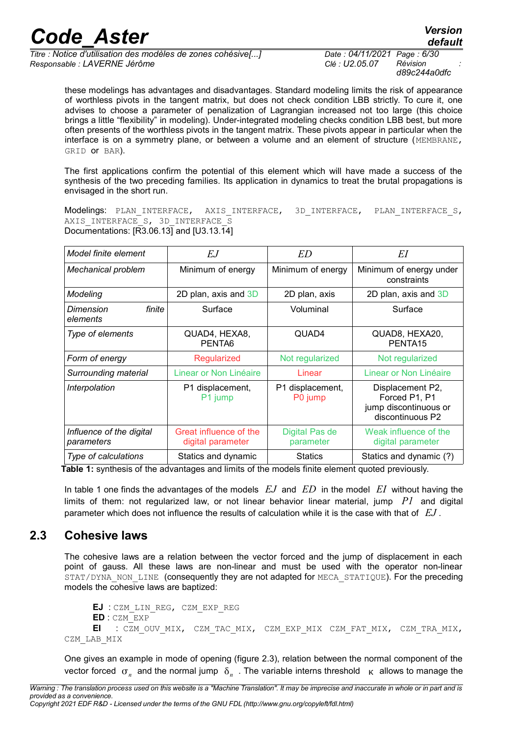*Titre : Notice d'utilisation des modèles de zones cohésive[...] Date : 04/11/2021 Page : 6/30 Responsable : LAVERNE Jérôme Clé : U2.05.07 Révision :*

*d89c244a0dfc*

these modelings has advantages and disadvantages. Standard modeling limits the risk of appearance of worthless pivots in the tangent matrix, but does not check condition LBB strictly. To cure it, one advises to choose a parameter of penalization of Lagrangian increased not too large (this choice brings a little "flexibility" in modeling). Under-integrated modeling checks condition LBB best, but more often presents of the worthless pivots in the tangent matrix. These pivots appear in particular when the interface is on a symmetry plane, or between a volume and an element of structure (MEMBRANE, GRID or BAR).

The first applications confirm the potential of this element which will have made a success of the synthesis of the two preceding families. Its application in dynamics to treat the brutal propagations is envisaged in the short run.

Modelings: PLAN\_INTERFACE, AXIS\_INTERFACE, 3D\_INTERFACE, PLAN\_INTERFACE\_S, AXIS INTERFACE S, 3D INTERFACE S Documentations: [R3.06.13] and [U3.13.14]

| Model finite element                   | EJ                                          | ED                          | EI                                                                             |
|----------------------------------------|---------------------------------------------|-----------------------------|--------------------------------------------------------------------------------|
| <b>Mechanical problem</b>              | Minimum of energy                           | Minimum of energy           | Minimum of energy under<br>constraints                                         |
| Modeling                               | 2D plan, axis and 3D                        | 2D plan, axis               | 2D plan, axis and 3D                                                           |
| finite<br>Dimension<br>elements        | Surface                                     | Voluminal                   | Surface                                                                        |
| Type of elements                       | QUAD4, HEXA8,<br>PENTA6                     | QUAD4                       | QUAD8, HEXA20,<br>PENTA <sub>15</sub>                                          |
| Form of energy                         | Regularized                                 | Not regularized             | Not regularized                                                                |
| Surrounding material                   | Linear or Non Linéaire                      | Linear                      | Linear or Non Linéaire                                                         |
| Interpolation                          | P1 displacement,<br>P1 jump                 | P1 displacement,<br>P0 jump | Displacement P2,<br>Forced P1, P1<br>jump discontinuous or<br>discontinuous P2 |
| Influence of the digital<br>parameters | Great influence of the<br>digital parameter | Digital Pas de<br>parameter | Weak influence of the<br>digital parameter                                     |
| Type of calculations                   | Statics and dynamic                         | <b>Statics</b>              | Statics and dynamic (?)                                                        |

**Table 1:** synthesis of the advantages and limits of the models finite element quoted previously.

In table 1 one finds the advantages of the models *EJ* and *ED* in the model *EI* without having the limits of them: not regularized law, or not linear behavior linear material, jump *P1* and digital parameter which does not influence the results of calculation while it is the case with that of *EJ* .

### **2.3 Cohesive laws**

<span id="page-5-0"></span>The cohesive laws are a relation between the vector forced and the jump of displacement in each point of gauss. All these laws are non-linear and must be used with the operator non-linear STAT/DYNA\_NON\_LINE (consequently they are not adapted for MECA\_STATIQUE). For the preceding models the cohesive laws are baptized:

```
EJ : CZM_LIN_REG, CZM_EXP_REG
     ED : CZM_EXP
     EI : CZM_OUV_MIX, CZM_TAC_MIX, CZM_EXP_MIX CZM_FAT_MIX, CZM_TRA_MIX,
CZM_LAB_MIX
```
One gives an example in mode of opening (figure 2.3), relation between the normal component of the vector forced  $\sigma_n$  and the normal jump  $\delta_n$  . The variable interns threshold  $\kappa$  allows to manage the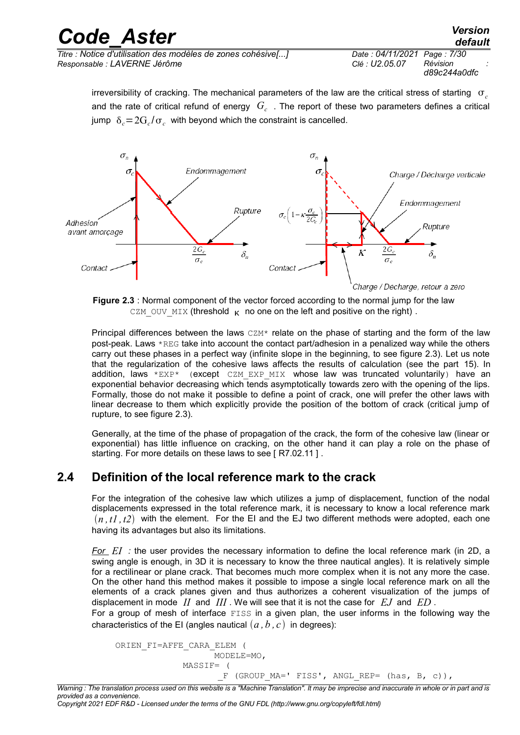| <b>Code Aster</b>                                                                            |                                               | <b>Version</b><br>default |  |
|----------------------------------------------------------------------------------------------|-----------------------------------------------|---------------------------|--|
| Titre : Notice d'utilisation des modèles de zones cohésive[]<br>Responsable : LAVERNE Jérôme | Date: 04/11/2021 Page: 7/30<br>Clé : U2.05.07 | Révision                  |  |
|                                                                                              |                                               | d89c244a0dfc              |  |

irreversibility of cracking. The mechanical parameters of the law are the critical stress of starting *<sup>c</sup>* and the rate of critical refund of energy  $\,G_{c}\,$  . The report of these two parameters defines a critical jump  $\delta_c = 2G_c/\sigma_c$  with beyond which the constraint is cancelled.



**Figure 2.3** : Normal component of the vector forced according to the normal jump for the law CZM OUV MIX (threshold  $\kappa$  no one on the left and positive on the right).

Principal differences between the laws  $CZM*$  relate on the phase of starting and the form of the law post-peak. Laws \*REG take into account the contact part/adhesion in a penalized way while the others carry out these phases in a perfect way (infinite slope in the beginning, to see figure 2.3). Let us note that the regularization of the cohesive laws affects the results of calculation (see the part [15\)](#page-14-0). In addition, laws \*EXP\* (except CZM EXP MIX whose law was truncated voluntarily) have an exponential behavior decreasing which tends asymptotically towards zero with the opening of the lips. Formally, those do not make it possible to define a point of crack, one will prefer the other laws with linear decrease to them which explicitly provide the position of the bottom of crack (critical jump of rupture, to see figure 2.3).

Generally, at the time of the phase of propagation of the crack, the form of the cohesive law (linear or exponential) has little influence on cracking, on the other hand it can play a role on the phase of starting. For more details on these laws to see [ R7.02.11 ] .

### **2.4 Definition of the local reference mark to the crack**

<span id="page-6-0"></span>For the integration of the cohesive law which utilizes a jump of displacement, function of the nodal displacements expressed in the total reference mark, it is necessary to know a local reference mark  $(n, t1, t2)$  with the element. For the EI and the EJ two different methods were adopted, each one having its advantages but also its limitations.

*For EI :* the user provides the necessary information to define the local reference mark (in 2D, a swing angle is enough, in 3D it is necessary to know the three nautical angles). It is relatively simple for a rectilinear or plane crack. That becomes much more complex when it is not any more the case. On the other hand this method makes it possible to impose a single local reference mark on all the elements of a crack planes given and thus authorizes a coherent visualization of the jumps of displacement in mode *II* and *III* . We will see that it is not the case for *EJ* and *ED* .

For a group of mesh of interface  $FISS$  in a given plan, the user informs in the following way the characteristics of the EI (angles nautical  $(a, b, c)$  in degrees):

```
 ORIEN_FI=AFFE_CARA_ELEM (
                    MODELE=MO,
              MASSIF= (
                     F (GROUP MA=' FISS', ANGL REP= (has, B, c)),
```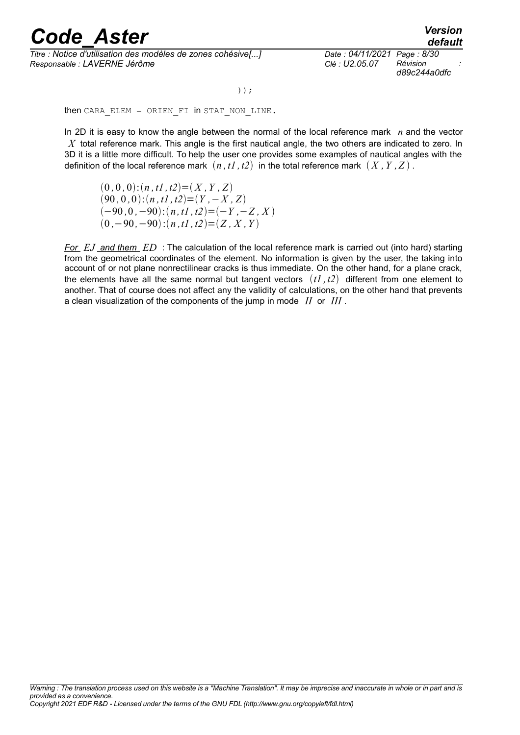*Titre : Notice d'utilisation des modèles de zones cohésive[...] Date : 04/11/2021 Page : 8/30 Responsable : LAVERNE Jérôme Clé : U2.05.07 Révision :*

*d89c244a0dfc*

) ) ;

then CARA ELEM = ORIEN FI in STAT NON LINE.

In 2D it is easy to know the angle between the normal of the local reference mark *n* and the vector *X* total reference mark. This angle is the first nautical angle, the two others are indicated to zero. In 3D it is a little more difficult. To help the user one provides some examples of nautical angles with the definition of the local reference mark  $(n, t1, t2)$  in the total reference mark  $(X, Y, Z)$ .

 $(0, 0, 0)$ ;  $(n, t1, t2) = (X, Y, Z)$  $(90, 0, 0)$ : $(n, t1, t2) = (Y, -X, Z)$  $(-90, 0, -90)$ ;  $(n, t1, t2) = (-Y, -Z, X)$  $(0, -90, -90)$ : $(n, t1, t2) = (Z, X, Y)$ 

*For EJ and them ED* : The calculation of the local reference mark is carried out (into hard) starting from the geometrical coordinates of the element. No information is given by the user, the taking into account of or not plane nonrectilinear cracks is thus immediate. On the other hand, for a plane crack, the elements have all the same normal but tangent vectors  $(t1, t2)$  different from one element to another. That of course does not affect any the validity of calculations, on the other hand that prevents a clean visualization of the components of the jump in mode *II* or *III* .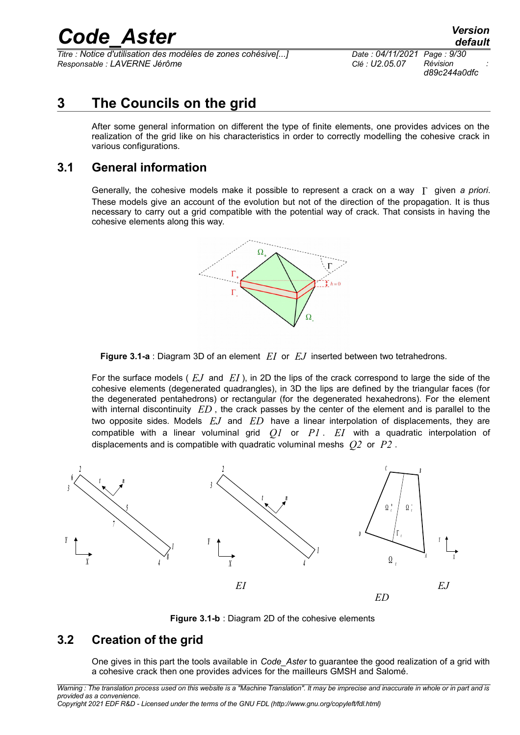*Titre : Notice d'utilisation des modèles de zones cohésive[...] Date : 04/11/2021 Page : 9/30 Responsable : LAVERNE Jérôme Clé : U2.05.07 Révision :*

*d89c244a0dfc*

# **3 The Councils on the grid**

<span id="page-8-2"></span>After some general information on different the type of finite elements, one provides advices on the realization of the grid like on his characteristics in order to correctly modelling the cohesive crack in various configurations.

### **3.1 General information**

<span id="page-8-1"></span>Generally, the cohesive models make it possible to represent a crack on a way  $\Gamma$  given a priori. These models give an account of the evolution but not of the direction of the propagation. It is thus necessary to carry out a grid compatible with the potential way of crack. That consists in having the cohesive elements along this way.



**Figure 3.1-a** : Diagram 3D of an element *EI* or *EJ* inserted between two tetrahedrons.

For the surface models ( *EJ* and *EI* ), in 2D the lips of the crack correspond to large the side of the cohesive elements (degenerated quadrangles), in 3D the lips are defined by the triangular faces (for the degenerated pentahedrons) or rectangular (for the degenerated hexahedrons). For the element with internal discontinuity *ED* , the crack passes by the center of the element and is parallel to the two opposite sides. Models *EJ* and *ED* have a linear interpolation of displacements, they are compatible with a linear voluminal grid *Q1* or *P1* . *EI* with a quadratic interpolation of displacements and is compatible with quadratic voluminal meshs *Q2* or *P2* .



**Figure 3.1-b** : Diagram 2D of the cohesive elements

### **3.2 Creation of the grid**

<span id="page-8-0"></span>One gives in this part the tools available in *Code\_Aster* to guarantee the good realization of a grid with a cohesive crack then one provides advices for the mailleurs GMSH and Salomé.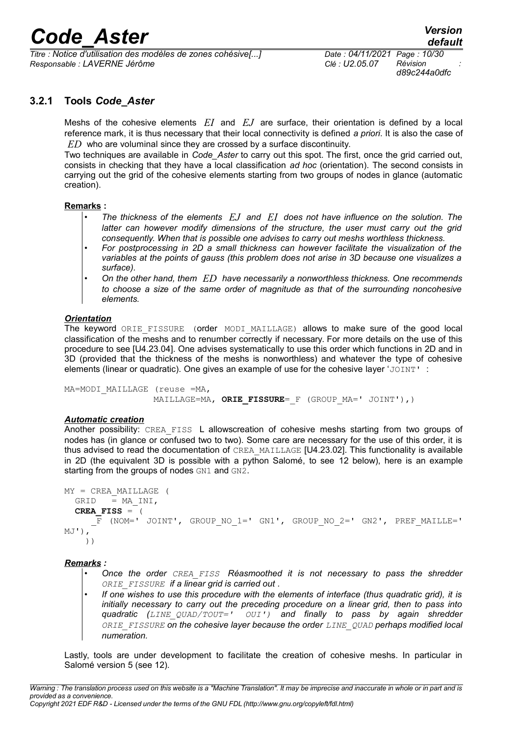*Titre : Notice d'utilisation des modèles de zones cohésive[...] Date : 04/11/2021 Page : 10/30 Responsable : LAVERNE Jérôme Clé : U2.05.07 Révision :*

*d89c244a0dfc*

#### **3.2.1 Tools** *Code\_Aster*

<span id="page-9-0"></span>Meshs of the cohesive elements *EI* and *EJ* are surface, their orientation is defined by a local reference mark, it is thus necessary that their local connectivity is defined *a priori*. It is also the case of *ED* who are voluminal since they are crossed by a surface discontinuity.

Two techniques are available in *Code\_Aster* to carry out this spot. The first, once the grid carried out, consists in checking that they have a local classification *ad hoc* (orientation). The second consists in carrying out the grid of the cohesive elements starting from two groups of nodes in glance (automatic creation).

#### **Remarks :**

- *The thickness of the elements EJ and EI does not have influence on the solution. The latter can however modify dimensions of the structure, the user must carry out the grid consequently. When that is possible one advises to carry out meshs worthless thickness.*
- *For postprocessing in 2D a small thickness can however facilitate the visualization of the variables at the points of gauss (this problem does not arise in 3D because one visualizes a surface).*
- *On the other hand, them ED have necessarily a nonworthless thickness. One recommends to choose a size of the same order of magnitude as that of the surrounding noncohesive elements.*

#### *Orientation*

The keyword ORIE FISSURE (order MODI MAILLAGE) allows to make sure of the good local classification of the meshs and to renumber correctly if necessary. For more details on the use of this procedure to see [U4.23.04]. One advises systematically to use this order which functions in 2D and in 3D (provided that the thickness of the meshs is nonworthless) and whatever the type of cohesive elements (linear or quadratic). One gives an example of use for the cohesive layer ' $J\text{OINT}$ ':

```
MA=MODI MAILLAGE (reuse =MA,
                 MAILLAGE=MA, ORIE FISSURE= F (GROUP MA=' JOINT'),)
```
#### *Automatic creation*

Another possibility: CREA\_FISS L allowscreation of cohesive meshs starting from two groups of nodes has (in glance or confused two to two). Some care are necessary for the use of this order, it is thus advised to read the documentation of CREA\_MAILLAGE [U4.23.02]. This functionality is available in 2D (the equivalent 3D is possible with a python Salomé, to see [12](#page-11-2) below), here is an example starting from the groups of nodes GN1 and GN2.

```
MY = CREA_MAILLAGE (
  GRID = MA INI,
  CREA FISS = (\overline{F} (NOM=' JOINT', GROUP NO 1=' GN1', GROUP NO 2=' GN2', PREF MAILLE='
MJ'),
     ))
```
*Remarks :*

- *Once the order CREA\_FISS Réasmoothed it is not necessary to pass the shredder ORIE\_FISSURE if a linear grid is carried out .*
- *If one wishes to use this procedure with the elements of interface (thus quadratic grid), it is initially necessary to carry out the preceding procedure on a linear grid, then to pass into quadratic (LINE\_QUAD/TOUT=' OUI') and finally to pass by again shredder ORIE\_FISSURE on the cohesive layer because the order LINE\_QUAD perhaps modified local numeration.*

Lastly, tools are under development to facilitate the creation of cohesive meshs. In particular in Salomé version 5 (see [12\)](#page-11-2).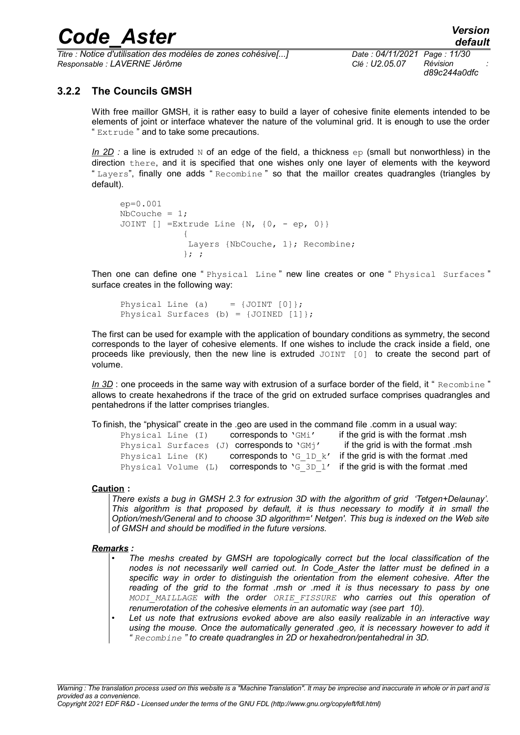*Titre : Notice d'utilisation des modèles de zones cohésive[...] Date : 04/11/2021 Page : 11/30 Responsable : LAVERNE Jérôme Clé : U2.05.07 Révision :*

*d89c244a0dfc*

#### **3.2.2 The Councils GMSH**

<span id="page-10-0"></span>With free maillor GMSH, it is rather easy to build a layer of cohesive finite elements intended to be elements of joint or interface whatever the nature of the voluminal grid. It is enough to use the order " Extrude " and to take some precautions.

*In 2D :* a line is extruded N of an edge of the field, a thickness ep (small but nonworthless) in the direction there, and it is specified that one wishes only one layer of elements with the keyword " Layers", finally one adds " Recombine " so that the maillor creates quadrangles (triangles by default).

```
ep=0.001
NbCouche = 1;JOINT [] =Extrude Line \{N, \{0, -ep, 0\}\}\){
               Layers {NbCouche, 1}; Recombine;
             }; ;
```
Then one can define one " Physical Line" new line creates or one " Physical Surfaces" surface creates in the following way:

```
Physical Line (a) = {JOINT [0] };
Physical Surfaces (b) = \{JOINED [1]\};
```
The first can be used for example with the application of boundary conditions as symmetry, the second corresponds to the layer of cohesive elements. If one wishes to include the crack inside a field, one proceeds like previously, then the new line is extruded  $JOINT [0]$  to create the second part of volume.

*In 3D* : one proceeds in the same way with extrusion of a surface border of the field, it " Recombine " allows to create hexahedrons if the trace of the grid on extruded surface comprises quadrangles and pentahedrons if the latter comprises triangles.

To finish, the "physical" create in the .geo are used in the command file .comm in a usual way:

| Physical Line (I)                          | corresponds to 'GMi'               | if the grid is with the format msh                                                 |
|--------------------------------------------|------------------------------------|------------------------------------------------------------------------------------|
| Physical Surfaces (J) corresponds to 'GMj' |                                    | if the grid is with the format .msh                                                |
| Physical Line (K)                          | corresponds to $\mathcal{G}$ 1D k' | if the grid is with the format .med                                                |
| Physical Volume (L)                        |                                    | corresponds to $\overline{G}$ 3D $\overline{I}$ if the grid is with the format med |

#### **Caution :**

*There exists a bug in GMSH 2.3 for extrusion 3D with the algorithm of grid 'Tetgen+Delaunay'. This algorithm is that proposed by default, it is thus necessary to modify it in small the Option/mesh/General and to choose 3D algorithm=' Netgen'. This bug is indexed on the Web site of GMSH and should be modified in the future versions.*

#### *Remarks :*

- *The meshs created by GMSH are topologically correct but the local classification of the nodes is not necessarily well carried out. In Code\_Aster the latter must be defined in a specific way in order to distinguish the orientation from the element cohesive. After the reading of the grid to the format .msh or .med it is thus necessary to pass by one MODI\_MAILLAGE with the order ORIE\_FISSURE who carries out this operation of renumerotation of the cohesive elements in an automatic way (see part [10\)](#page-9-0).*
- *Let us note that extrusions evoked above are also easily realizable in an interactive way using the mouse. Once the automatically generated .geo, it is necessary however to add it " Recombine " to create quadrangles in 2D or hexahedron/pentahedral in 3D.*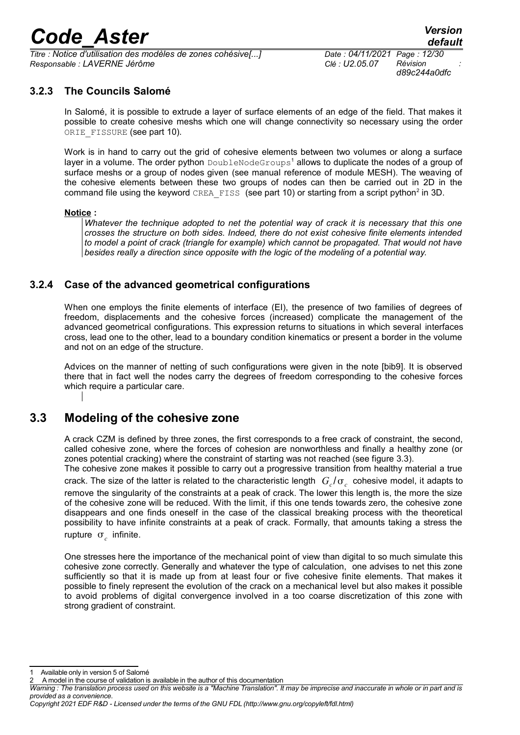*Titre : Notice d'utilisation des modèles de zones cohésive[...] Date : 04/11/2021 Page : 12/30 Responsable : LAVERNE Jérôme Clé : U2.05.07 Révision :*

*d89c244a0dfc*

#### **3.2.3 The Councils Salomé**

<span id="page-11-2"></span>In Salomé, it is possible to extrude a layer of surface elements of an edge of the field. That makes it possible to create cohesive meshs which one will change connectivity so necessary using the order ORIE FISSURE (see part [10\)](#page-9-0).

Work is in hand to carry out the grid of cohesive elements between two volumes or along a surface layer in a volume. The order python  $\text{DoubleNodes}$  allows to duplicate the nodes of a group of surface meshs or a group of nodes given (see manual reference of module MESH). The weaving of the cohesive elements between these two groups of nodes can then be carried out in 2D in the command file using the keyword CREA FISS (see part [10\)](#page-9-0) or starting from a script python<sup>[2](#page-11-4)</sup> in 3D.

#### **Notice :**

*Whatever the technique adopted to net the potential way of crack it is necessary that this one crosses the structure on both sides. Indeed, there do not exist cohesive finite elements intended to model a point of crack (triangle for example) which cannot be propagated. That would not have besides really a direction since opposite with the logic of the modeling of a potential way.*

#### **3.2.4 Case of the advanced geometrical configurations**

<span id="page-11-1"></span>When one employs the finite elements of interface (EI), the presence of two families of degrees of freedom, displacements and the cohesive forces (increased) complicate the management of the advanced geometrical configurations. This expression returns to situations in which several interfaces cross, lead one to the other, lead to a boundary condition kinematics or present a border in the volume and not on an edge of the structure.

Advices on the manner of netting of such configurations were given in the note [bib9]. It is observed there that in fact well the nodes carry the degrees of freedom corresponding to the cohesive forces which require a particular care.

### **3.3 Modeling of the cohesive zone**

<span id="page-11-0"></span>A crack CZM is defined by three zones, the first corresponds to a free crack of constraint, the second, called cohesive zone, where the forces of cohesion are nonworthless and finally a healthy zone (or zones potential cracking) where the constraint of starting was not reached (see figure 3.3).

The cohesive zone makes it possible to carry out a progressive transition from healthy material a true crack. The size of the latter is related to the characteristic length  $\,G_c/\sigma_{_c}\,$  cohesive model, it adapts to remove the singularity of the constraints at a peak of crack. The lower this length is, the more the size of the cohesive zone will be reduced. With the limit, if this one tends towards zero, the cohesive zone disappears and one finds oneself in the case of the classical breaking process with the theoretical possibility to have infinite constraints at a peak of crack. Formally, that amounts taking a stress the rupture  $\sigma_c$  infinite.

One stresses here the importance of the mechanical point of view than digital to so much simulate this cohesive zone correctly. Generally and whatever the type of calculation, one advises to net this zone sufficiently so that it is made up from at least four or five cohesive finite elements. That makes it possible to finely represent the evolution of the crack on a mechanical level but also makes it possible to avoid problems of digital convergence involved in a too coarse discretization of this zone with strong gradient of constraint.

<span id="page-11-3"></span>Available only in version 5 of Salomé

<span id="page-11-4"></span><sup>2</sup> A model in the course of validation is available in the author of this documentation

*Warning : The translation process used on this website is a "Machine Translation". It may be imprecise and inaccurate in whole or in part and is provided as a convenience.*

*Copyright 2021 EDF R&D - Licensed under the terms of the GNU FDL (http://www.gnu.org/copyleft/fdl.html)*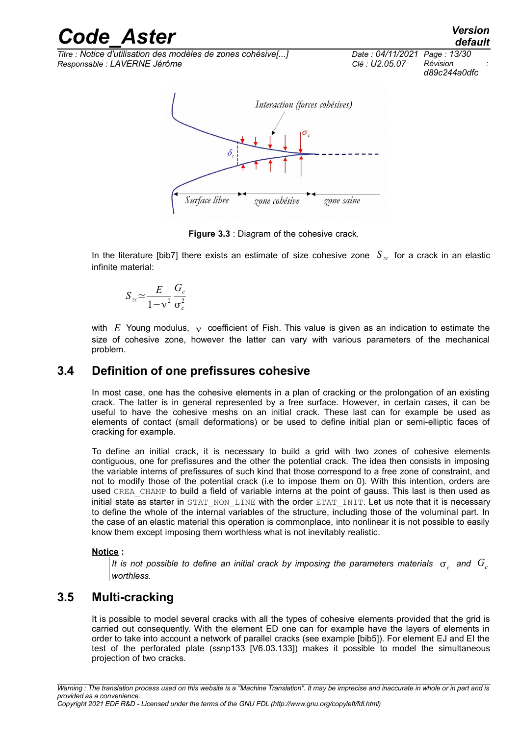| <b>Code Aster</b> | <b>Version</b> |
|-------------------|----------------|
|                   | default        |

*Titre : Notice d'utilisation des modèles de zones cohésive[...] Date : 04/11/2021 Page : 13/30 Responsable : LAVERNE Jérôme Clé : U2.05.07 Révision :*

*d89c244a0dfc*



**Figure 3.3** : Diagram of the cohesive crack.

In the literature [bib7] there exists an estimate of size cohesive zone  $S_{z}$  for a crack in an elastic infinite material:

$$
S_{zc} \simeq \frac{E}{1 - v^2} \frac{G_c}{\sigma_c^2}
$$

with *E* Young modulus,  $\gamma$  coefficient of Fish. This value is given as an indication to estimate the size of cohesive zone, however the latter can vary with various parameters of the mechanical problem.

### **3.4 Definition of one prefissures cohesive**

<span id="page-12-1"></span>In most case, one has the cohesive elements in a plan of cracking or the prolongation of an existing crack. The latter is in general represented by a free surface. However, in certain cases, it can be useful to have the cohesive meshs on an initial crack. These last can for example be used as elements of contact (small deformations) or be used to define initial plan or semi-elliptic faces of cracking for example.

To define an initial crack, it is necessary to build a grid with two zones of cohesive elements contiguous, one for prefissures and the other the potential crack. The idea then consists in imposing the variable interns of prefissures of such kind that those correspond to a free zone of constraint, and not to modify those of the potential crack (i.e to impose them on 0). With this intention, orders are used CREA\_CHAMP to build a field of variable interns at the point of gauss. This last is then used as initial state as starter in STAT\_NON\_LINE with the order ETAT\_INIT. Let us note that it is necessary to define the whole of the internal variables of the structure, including those of the voluminal part. In the case of an elastic material this operation is commonplace, into nonlinear it is not possible to easily know them except imposing them worthless what is not inevitably realistic.

#### **Notice :**

*It is not possible to define an initial crack by imposing the parameters materials*  $\; \sigma_{_{c}} \;$  *and*  $\; G_{_{c}}$ *worthless.*

### **3.5 Multi-cracking**

<span id="page-12-0"></span>It is possible to model several cracks with all the types of cohesive elements provided that the grid is carried out consequently. With the element ED one can for example have the layers of elements in order to take into account a network of parallel cracks (see example [bib5]). For element EJ and EI the test of the perforated plate (ssnp133 [V6.03.133]) makes it possible to model the simultaneous projection of two cracks.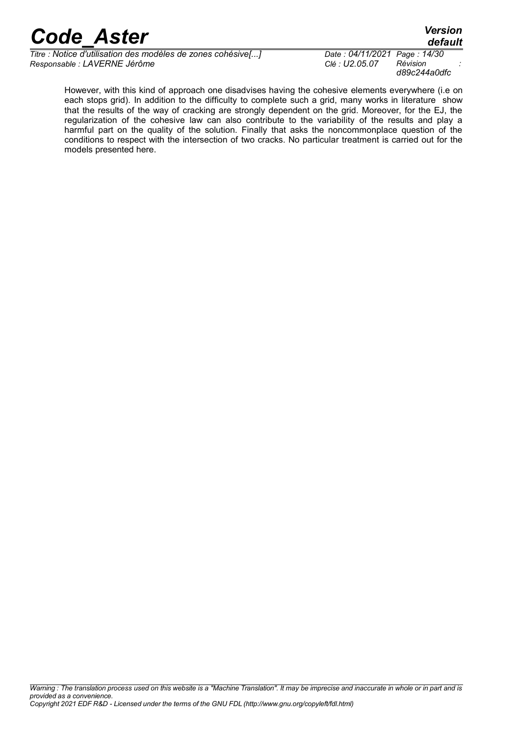*Titre : Notice d'utilisation des modèles de zones cohésive[...] Date : 04/11/2021 Page : 14/30 Responsable : LAVERNE Jérôme Clé : U2.05.07 Révision :*

*d89c244a0dfc*

*default*

However, with this kind of approach one disadvises having the cohesive elements everywhere (i.e on each stops grid). In addition to the difficulty to complete such a grid, many works in literature show that the results of the way of cracking are strongly dependent on the grid. Moreover, for the EJ, the regularization of the cohesive law can also contribute to the variability of the results and play a harmful part on the quality of the solution. Finally that asks the noncommonplace question of the conditions to respect with the intersection of two cracks. No particular treatment is carried out for the models presented here.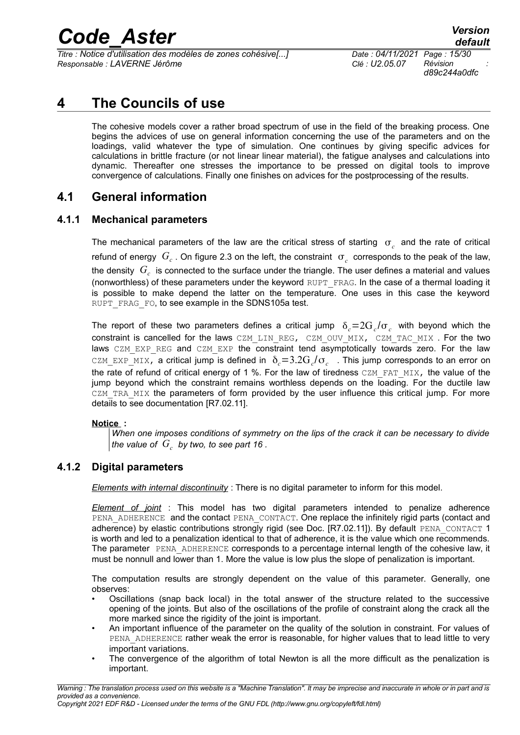*Titre : Notice d'utilisation des modèles de zones cohésive[...] Date : 04/11/2021 Page : 15/30 Responsable : LAVERNE Jérôme Clé : U2.05.07 Révision :*

*d89c244a0dfc*

## **4 The Councils of use**

<span id="page-14-3"></span>The cohesive models cover a rather broad spectrum of use in the field of the breaking process. One begins the advices of use on general information concerning the use of the parameters and on the loadings, valid whatever the type of simulation. One continues by giving specific advices for calculations in brittle fracture (or not linear linear material), the fatigue analyses and calculations into dynamic. Thereafter one stresses the importance to be pressed on digital tools to improve convergence of calculations. Finally one finishes on advices for the postprocessing of the results.

### <span id="page-14-2"></span>**4.1 General information**

#### **4.1.1 Mechanical parameters**

<span id="page-14-1"></span>The mechanical parameters of the law are the critical stress of starting  $\sigma_c^+$  and the rate of critical refund of energy  $|G_c|$ . On figure 2.3 on the left, the constraint  $| \sigma \rangle_c$  corresponds to the peak of the law, the density  $\,G_{c}\,$  is connected to the surface under the triangle. The user defines a material and values (nonworthless) of these parameters under the keyword RUPT\_FRAG. In the case of a thermal loading it is possible to make depend the latter on the temperature. One uses in this case the keyword RUPT FRAG FO, to see example in the SDNS105a test.

The report of these two parameters defines a critical jump  $\delta_c = 2G_c/\sigma_c$  with beyond which the constraint is cancelled for the laws CZM\_LIN\_REG, CZM\_OUV\_MIX, CZM\_TAC\_MIX. For the two laws CZM EXP REG and CZM EXP the constraint tend asymptotically towards zero. For the law  $\in$ с $\rm zM\_EXP\_MIX$ , a critical jump is defined in  $\,\delta_c^{}\!=\!3.2G_c/\sigma_{_c}^{}\,$  . This jump corresponds to an error on the rate of refund of critical energy of 1 %. For the law of tiredness CZM\_FAT\_MIX, the value of the jump beyond which the constraint remains worthless depends on the loading. For the ductile law CZM TRA MIX the parameters of form provided by the user influence this critical jump. For more details to see documentation [R7.02.11].

#### **Notice :**

*When one imposes conditions of symmetry on the lips of the crack it can be necessary to divide the value of*  $\,G_{c}^{\phantom{\dag}}\,$  *by two, to see part [16](#page-15-2)*  $.$ 

#### **4.1.2 Digital parameters**

<span id="page-14-0"></span>*Elements with internal discontinuity* : There is no digital parameter to inform for this model.

*Element of joint* : This model has two digital parameters intended to penalize adherence PENA\_ADHERENCE and the contact PENA\_CONTACT. One replace the infinitely rigid parts (contact and adherence) by elastic contributions strongly rigid (see Doc. [R7.02.11]). By default PENA CONTACT 1 is worth and led to a penalization identical to that of adherence, it is the value which one recommends. The parameter PENA ADHERENCE corresponds to a percentage internal length of the cohesive law, it must be nonnull and lower than 1. More the value is low plus the slope of penalization is important.

The computation results are strongly dependent on the value of this parameter. Generally, one observes:

- Oscillations (snap back local) in the total answer of the structure related to the successive opening of the joints. But also of the oscillations of the profile of constraint along the crack all the more marked since the rigidity of the joint is important.
- An important influence of the parameter on the quality of the solution in constraint. For values of PENA ADHERENCE rather weak the error is reasonable, for higher values that to lead little to very important variations.
- The convergence of the algorithm of total Newton is all the more difficult as the penalization is important.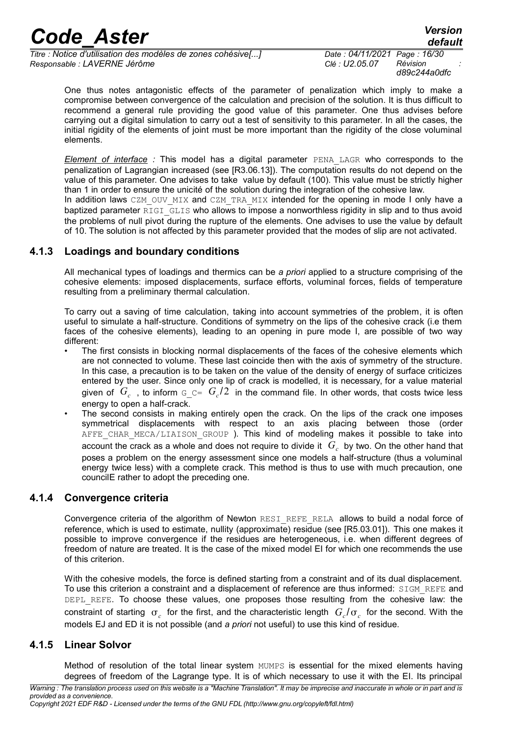*Titre : Notice d'utilisation des modèles de zones cohésive[...] Date : 04/11/2021 Page : 16/30 Responsable : LAVERNE Jérôme Clé : U2.05.07 Révision :*

*d89c244a0dfc*

One thus notes antagonistic effects of the parameter of penalization which imply to make a compromise between convergence of the calculation and precision of the solution. It is thus difficult to recommend a general rule providing the good value of this parameter. One thus advises before carrying out a digital simulation to carry out a test of sensitivity to this parameter. In all the cases, the initial rigidity of the elements of joint must be more important than the rigidity of the close voluminal elements.

*Element of interface :* This model has a digital parameter PENA\_LAGR who corresponds to the penalization of Lagrangian increased (see [R3.06.13]). The computation results do not depend on the value of this parameter. One advises to take value by default (100). This value must be strictly higher than 1 in order to ensure the unicité of the solution during the integration of the cohesive law. In addition laws CZM\_OUV\_MIX and CZM\_TRA\_MIX intended for the opening in mode I only have a baptized parameter RIGI GLIS who allows to impose a nonworthless rigidity in slip and to thus avoid the problems of null pivot during the rupture of the elements. One advises to use the value by default of 10. The solution is not affected by this parameter provided that the modes of slip are not activated.

#### **4.1.3 Loadings and boundary conditions**

<span id="page-15-2"></span>All mechanical types of loadings and thermics can be *a priori* applied to a structure comprising of the cohesive elements: imposed displacements, surface efforts, voluminal forces, fields of temperature resulting from a preliminary thermal calculation.

To carry out a saving of time calculation, taking into account symmetries of the problem, it is often useful to simulate a half-structure. Conditions of symmetry on the lips of the cohesive crack (i.e them faces of the cohesive elements), leading to an opening in pure mode I, are possible of two way different:

- The first consists in blocking normal displacements of the faces of the cohesive elements which are not connected to volume. These last coincide then with the axis of symmetry of the structure. In this case, a precaution is to be taken on the value of the density of energy of surface criticizes entered by the user. Since only one lip of crack is modelled, it is necessary, for a value material given of  $\,G_{c}^{}\,$  , to inform  $\,$ g $\,$   $\,$ c=  $\,G_{c}^{}/2\,$  in the command file. In other words, that costs twice less energy to open a half-crack.
- The second consists in making entirely open the crack. On the lips of the crack one imposes symmetrical displacements with respect to an axis placing between those (order AFFE CHAR MECA/LIAISON GROUP ). This kind of modeling makes it possible to take into account the crack as a whole and does not require to divide it  $\,G_{c}\,$  by two. On the other hand that poses a problem on the energy assessment since one models a half-structure (thus a voluminal energy twice less) with a complete crack. This method is thus to use with much precaution, one councilE rather to adopt the preceding one.

#### **4.1.4 Convergence criteria**

<span id="page-15-1"></span>Convergence criteria of the algorithm of Newton RESI\_REFE\_RELA allows to build a nodal force of reference, which is used to estimate, nullity (approximate) residue (see [R5.03.01]). This one makes it possible to improve convergence if the residues are heterogeneous, i.e. when different degrees of freedom of nature are treated. It is the case of the mixed model EI for which one recommends the use of this criterion.

With the cohesive models, the force is defined starting from a constraint and of its dual displacement. To use this criterion a constraint and a displacement of reference are thus informed: SIGM\_REFE and DEPL REFE. To choose these values, one proposes those resulting from the cohesive law: the constraint of starting  $\sigma_c$  for the first, and the characteristic length  $G_c/\sigma_c$  for the second. With the models EJ and ED it is not possible (and *a priori* not useful) to use this kind of residue.

#### **4.1.5 Linear Solvor**

<span id="page-15-0"></span>Method of resolution of the total linear system MUMPS is essential for the mixed elements having degrees of freedom of the Lagrange type. It is of which necessary to use it with the EI. Its principal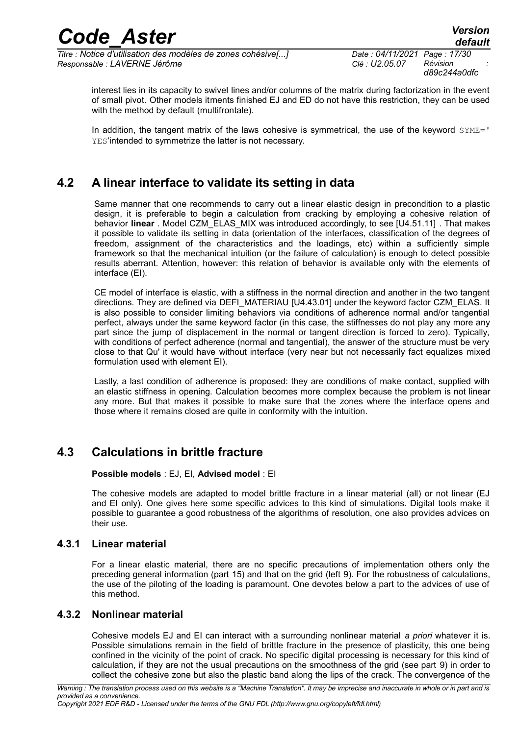interest lies in its capacity to swivel lines and/or columns of the matrix during factorization in the event of small pivot. Other models itments finished EJ and ED do not have this restriction, they can be used with the method by default (multifrontale).

In addition, the tangent matrix of the laws cohesive is symmetrical, the use of the keyword  $\text{SYME}$ =' YES'intended to symmetrize the latter is not necessary.

### **4.2 A linear interface to validate its setting in data**

<span id="page-16-3"></span>Same manner that one recommends to carry out a linear elastic design in precondition to a plastic design, it is preferable to begin a calculation from cracking by employing a cohesive relation of behavior **linear** . Model CZM\_ELAS\_MIX was introduced accordingly, to see [U4.51.11] . That makes it possible to validate its setting in data (orientation of the interfaces, classification of the degrees of freedom, assignment of the characteristics and the loadings, etc) within a sufficiently simple framework so that the mechanical intuition (or the failure of calculation) is enough to detect possible results aberrant. Attention, however: this relation of behavior is available only with the elements of interface (EI).

CE model of interface is elastic, with a stiffness in the normal direction and another in the two tangent directions. They are defined via DEFI\_MATERIAU [U4.43.01] under the keyword factor CZM\_ELAS. It is also possible to consider limiting behaviors via conditions of adherence normal and/or tangential perfect, always under the same keyword factor (in this case, the stiffnesses do not play any more any part since the jump of displacement in the normal or tangent direction is forced to zero). Typically, with conditions of perfect adherence (normal and tangential), the answer of the structure must be very close to that Qu' it would have without interface (very near but not necessarily fact equalizes mixed formulation used with element EI).

Lastly, a last condition of adherence is proposed: they are conditions of make contact, supplied with an elastic stiffness in opening. Calculation becomes more complex because the problem is not linear any more. But that makes it possible to make sure that the zones where the interface opens and those where it remains closed are quite in conformity with the intuition.

### **4.3 Calculations in brittle fracture**

<span id="page-16-2"></span>**Possible models** : EJ, EI, **Advised model** : EI

The cohesive models are adapted to model brittle fracture in a linear material (all) or not linear (EJ and EI only). One gives here some specific advices to this kind of simulations. Digital tools make it possible to guarantee a good robustness of the algorithms of resolution, one also provides advices on their use.

#### **4.3.1 Linear material**

<span id="page-16-1"></span>For a linear elastic material, there are no specific precautions of implementation others only the preceding general information (part [15\)](#page-14-2) and that on the grid (left [9\)](#page-8-2). For the robustness of calculations, the use of the piloting of the loading is paramount. One devotes below a part to the advices of use of this method.

#### **4.3.2 Nonlinear material**

<span id="page-16-0"></span>Cohesive models EJ and EI can interact with a surrounding nonlinear material *a priori* whatever it is. Possible simulations remain in the field of brittle fracture in the presence of plasticity, this one being confined in the vicinity of the point of crack. No specific digital processing is necessary for this kind of calculation, if they are not the usual precautions on the smoothness of the grid (see part [9\)](#page-8-2) in order to collect the cohesive zone but also the plastic band along the lips of the crack. The convergence of the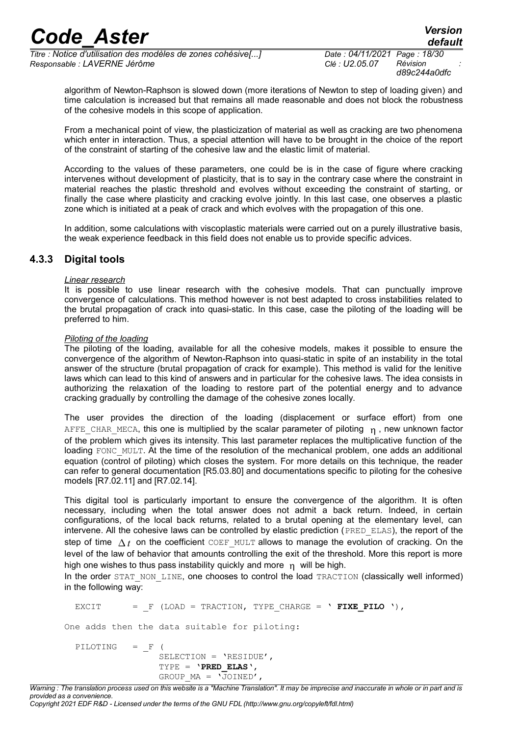*Titre : Notice d'utilisation des modèles de zones cohésive[...] Date : 04/11/2021 Page : 18/30 Responsable : LAVERNE Jérôme Clé : U2.05.07 Révision :*

*d89c244a0dfc*

algorithm of Newton-Raphson is slowed down (more iterations of Newton to step of loading given) and time calculation is increased but that remains all made reasonable and does not block the robustness of the cohesive models in this scope of application.

From a mechanical point of view, the plasticization of material as well as cracking are two phenomena which enter in interaction. Thus, a special attention will have to be brought in the choice of the report of the constraint of starting of the cohesive law and the elastic limit of material.

According to the values of these parameters, one could be is in the case of figure where cracking intervenes without development of plasticity, that is to say in the contrary case where the constraint in material reaches the plastic threshold and evolves without exceeding the constraint of starting, or finally the case where plasticity and cracking evolve jointly. In this last case, one observes a plastic zone which is initiated at a peak of crack and which evolves with the propagation of this one.

In addition, some calculations with viscoplastic materials were carried out on a purely illustrative basis, the weak experience feedback in this field does not enable us to provide specific advices.

#### **4.3.3 Digital tools**

#### <span id="page-17-0"></span>*Linear research*

It is possible to use linear research with the cohesive models. That can punctually improve convergence of calculations. This method however is not best adapted to cross instabilities related to the brutal propagation of crack into quasi-static. In this case, case the piloting of the loading will be preferred to him.

#### *Piloting of the loading*

The piloting of the loading, available for all the cohesive models, makes it possible to ensure the convergence of the algorithm of Newton-Raphson into quasi-static in spite of an instability in the total answer of the structure (brutal propagation of crack for example). This method is valid for the lenitive laws which can lead to this kind of answers and in particular for the cohesive laws. The idea consists in authorizing the relaxation of the loading to restore part of the potential energy and to advance cracking gradually by controlling the damage of the cohesive zones locally.

The user provides the direction of the loading (displacement or surface effort) from one AFFE CHAR MECA, this one is multiplied by the scalar parameter of piloting  $\eta$ , new unknown factor of the problem which gives its intensity. This last parameter replaces the multiplicative function of the loading FONC\_MULT. At the time of the resolution of the mechanical problem, one adds an additional equation (control of piloting) which closes the system. For more details on this technique, the reader can refer to general documentation [R5.03.80] and documentations specific to piloting for the cohesive models [R7.02.11] and [R7.02.14].

This digital tool is particularly important to ensure the convergence of the algorithm. It is often necessary, including when the total answer does not admit a back return. Indeed, in certain configurations, of the local back returns, related to a brutal opening at the elementary level, can intervene. All the cohesive laws can be controlled by elastic prediction (PRED\_ELAS), the report of the step of time  $\Delta t$  on the coefficient COEF MULT allows to manage the evolution of cracking. On the level of the law of behavior that amounts controlling the exit of the threshold. More this report is more high one wishes to thus pass instability quickly and more  $\eta$  will be high.

In the order STAT\_NON\_LINE, one chooses to control the load TRACTION (classically well informed) in the following way:

EXCIT  $=$   $F$  (LOAD = TRACTION, TYPE CHARGE =  $'$  **FIXE PILO** '),

One adds then the data suitable for piloting:

PILOTING = F ( SELECTION = 'RESIDUE', TYPE = '**PRED\_ELAS**', GROUP  $MA = \sqrt{J}OINED'$ ,

*Warning : The translation process used on this website is a "Machine Translation". It may be imprecise and inaccurate in whole or in part and is provided as a convenience.*

*Copyright 2021 EDF R&D - Licensed under the terms of the GNU FDL (http://www.gnu.org/copyleft/fdl.html)*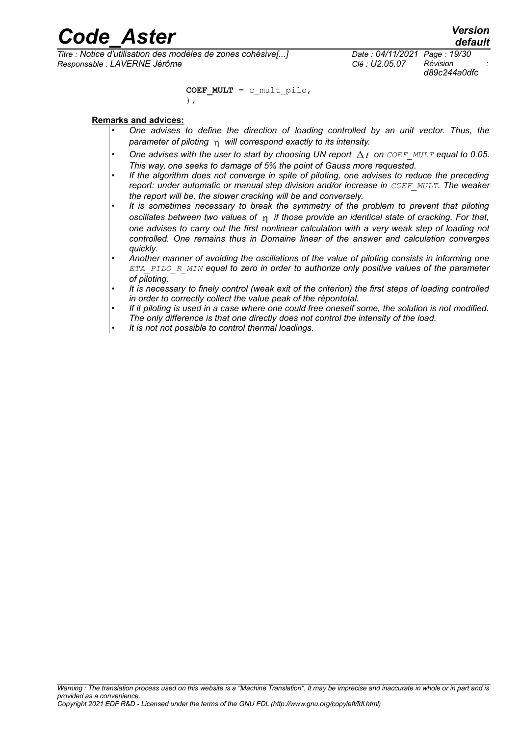*Titre : Notice d'utilisation des modèles de zones cohésive[...] Date : 04/11/2021 Page : 19/30 Responsable : LAVERNE Jérôme Clé : U2.05.07 Révision :*

*d89c244a0dfc*

 **COEF\_MULT** = c\_mult\_pilo, ),

#### **Remarks and advices:**

- *One advises to define the direction of loading controlled by an unit vector. Thus, the parameter of piloting will correspond exactly to its intensity.*
- One advises with the user to start by choosing UN report  $\Delta t$  on COEF MULT equal to 0.05. *This way, one seeks to damage of 5% the point of Gauss more requested.*
- *If the algorithm does not converge in spite of piloting, one advises to reduce the preceding report: under automatic or manual step division and/or increase in COEF\_MULT. The weaker the report will be, the slower cracking will be and conversely.*
- *It is sometimes necessary to break the symmetry of the problem to prevent that piloting oscillates between two values of if those provide an identical state of cracking. For that, one advises to carry out the first nonlinear calculation with a very weak step of loading not controlled. One remains thus in Domaine linear of the answer and calculation converges quickly.*
- *Another manner of avoiding the oscillations of the value of piloting consists in informing one ETA\_PILO\_R\_MIN equal to zero in order to authorize only positive values of the parameter of piloting.*
- *It is necessary to finely control (weak exit of the criterion) the first steps of loading controlled in order to correctly collect the value peak of the répontotal.*
- *If it piloting is used in a case where one could free oneself some, the solution is not modified. The only difference is that one directly does not control the intensity of the load.*
- *It is not not possible to control thermal loadings.*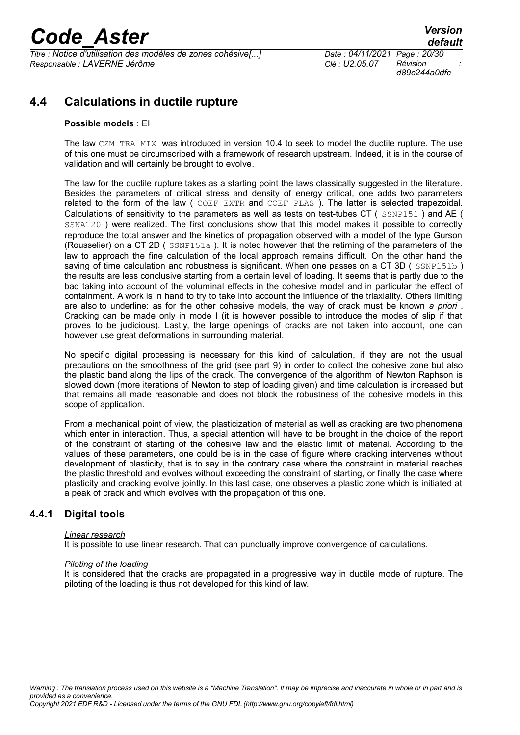*Titre : Notice d'utilisation des modèles de zones cohésive[...] Date : 04/11/2021 Page : 20/30 Responsable : LAVERNE Jérôme Clé : U2.05.07 Révision :*

*d89c244a0dfc*

### **4.4 Calculations in ductile rupture**

#### <span id="page-19-1"></span>**Possible models** : EI

The law CZM TRA MIX was introduced in version 10.4 to seek to model the ductile rupture. The use of this one must be circumscribed with a framework of research upstream. Indeed, it is in the course of validation and will certainly be brought to evolve.

The law for the ductile rupture takes as a starting point the laws classically suggested in the literature. Besides the parameters of critical stress and density of energy critical, one adds two parameters related to the form of the law ( COEF EXTR and COEF PLAS ). The latter is selected trapezoidal. Calculations of sensitivity to the parameters as well as tests on test-tubes CT ( $SSNP151$ ) and AE ( SSNA120 ) were realized. The first conclusions show that this model makes it possible to correctly reproduce the total answer and the kinetics of propagation observed with a model of the type Gurson (Rousselier) on a CT 2D ( SSNP151a ). It is noted however that the retiming of the parameters of the law to approach the fine calculation of the local approach remains difficult. On the other hand the saving of time calculation and robustness is significant. When one passes on a CT 3D ( SSNP151b) the results are less conclusive starting from a certain level of loading. It seems that is partly due to the bad taking into account of the voluminal effects in the cohesive model and in particular the effect of containment. A work is in hand to try to take into account the influence of the triaxiality. Others limiting are also to underline: as for the other cohesive models, the way of crack must be known *a priori* . Cracking can be made only in mode I (it is however possible to introduce the modes of slip if that proves to be judicious). Lastly, the large openings of cracks are not taken into account, one can however use great deformations in surrounding material.

No specific digital processing is necessary for this kind of calculation, if they are not the usual precautions on the smoothness of the grid (see part [9\)](#page-8-2) in order to collect the cohesive zone but also the plastic band along the lips of the crack. The convergence of the algorithm of Newton Raphson is slowed down (more iterations of Newton to step of loading given) and time calculation is increased but that remains all made reasonable and does not block the robustness of the cohesive models in this scope of application.

From a mechanical point of view, the plasticization of material as well as cracking are two phenomena which enter in interaction. Thus, a special attention will have to be brought in the choice of the report of the constraint of starting of the cohesive law and the elastic limit of material. According to the values of these parameters, one could be is in the case of figure where cracking intervenes without development of plasticity, that is to say in the contrary case where the constraint in material reaches the plastic threshold and evolves without exceeding the constraint of starting, or finally the case where plasticity and cracking evolve jointly. In this last case, one observes a plastic zone which is initiated at a peak of crack and which evolves with the propagation of this one.

#### **4.4.1 Digital tools**

#### <span id="page-19-0"></span>*Linear research*

It is possible to use linear research. That can punctually improve convergence of calculations.

#### *Piloting of the loading*

It is considered that the cracks are propagated in a progressive way in ductile mode of rupture. The piloting of the loading is thus not developed for this kind of law.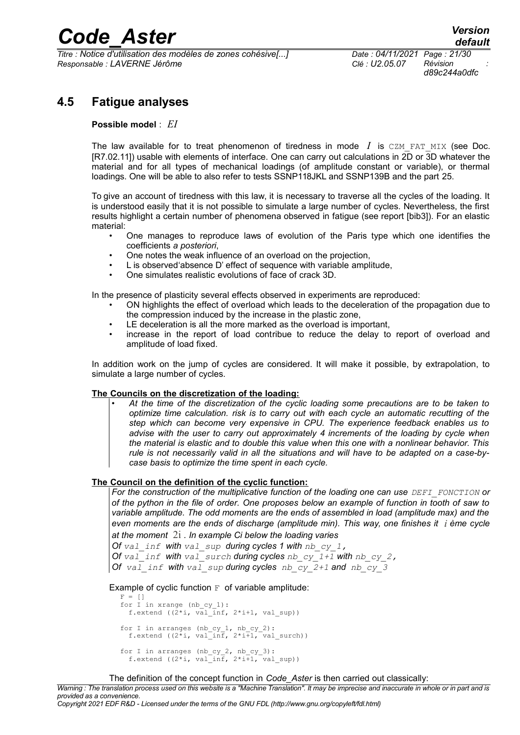*Titre : Notice d'utilisation des modèles de zones cohésive[...] Date : 04/11/2021 Page : 21/30 Responsable : LAVERNE Jérôme Clé : U2.05.07 Révision :*

*d89c244a0dfc*

### **4.5 Fatigue analyses**

#### <span id="page-20-0"></span>**Possible model** : *EI*

The law available for to treat phenomenon of tiredness in mode  $I$  is CZM FAT MIX (see Doc. [R7.02.11]) usable with elements of interface. One can carry out calculations in 2D or 3D whatever the material and for all types of mechanical loadings (of amplitude constant or variable), or thermal loadings. One will be able to also refer to tests SSNP118JKL and SSNP139B and the part [25.](#page-24-0)

To give an account of tiredness with this law, it is necessary to traverse all the cycles of the loading. It is understood easily that it is not possible to simulate a large number of cycles. Nevertheless, the first results highlight a certain number of phenomena observed in fatigue (see report [bib3]). For an elastic material:

- One manages to reproduce laws of evolution of the Paris type which one identifies the coefficients *a posteriori*,
- One notes the weak influence of an overload on the projection,
- L is observed'absence D' effect of sequence with variable amplitude,
- One simulates realistic evolutions of face of crack 3D.

In the presence of plasticity several effects observed in experiments are reproduced:

- ON highlights the effect of overload which leads to the deceleration of the propagation due to the compression induced by the increase in the plastic zone,
- LE deceleration is all the more marked as the overload is important,
- increase in the report of load contribue to reduce the delay to report of overload and amplitude of load fixed.

In addition work on the jump of cycles are considered. It will make it possible, by extrapolation, to simulate a large number of cycles.

#### **The Councils on the discretization of the loading:**

• *At the time of the discretization of the cyclic loading some precautions are to be taken to optimize time calculation. risk is to carry out with each cycle an automatic recutting of the step which can become very expensive in CPU. The experience feedback enables us to advise with the user to carry out approximately 4 increments of the loading by cycle when the material is elastic and to double this value when this one with a nonlinear behavior. This rule is not necessarily valid in all the situations and will have to be adapted on a case-bycase basis to optimize the time spent in each cycle.*

#### **The Council on the definition of the cyclic function:**

*For the construction of the multiplicative function of the loading one can use*  $DEFI$  *FONCTION* or *of the python in the file of order. One proposes below an example of function in tooth of saw to variable amplitude. The odd moments are the ends of assembled in load (amplitude max) and the even moments are the ends of discharge (amplitude min). This way, one finishes it i ème cycle at the moment* 2i *. In example Ci below the loading varies* 

*Of val\_inf with val\_sup during cycles 1 with nb\_cy\_1,* 

*Of val\_inf with val\_surch during cycles nb\_cy\_1+1 with nb\_cy\_2,*

*Of*  $\overline{v}$ *al inf with*  $\overline{v}$ *al sup during cycles nb cy* 2+1 *and nb cy* 3

Example of cyclic function  $F$  of variable amplitude:

```
F = []for \overline{1} in xrange (nb_cy_1):
  f.extend ((2 \times i, val inf, 2 \times i+1, val sup))
for I in arranges (nb cy 1, nb cy 2):
 f.extend ((2*i, val_inf, 2*i+1, val_surch))
for I in arranges (nb cy 2, nb cy 3):
  f.extend ((2 \times i, \text{val} - inf, 2 \times i+1, \text{val} \text{ sup}))
```
#### The definition of the concept function in *Code\_Aster* is then carried out classically:

*Warning : The translation process used on this website is a "Machine Translation". It may be imprecise and inaccurate in whole or in part and is provided as a convenience.*

*Copyright 2021 EDF R&D - Licensed under the terms of the GNU FDL (http://www.gnu.org/copyleft/fdl.html)*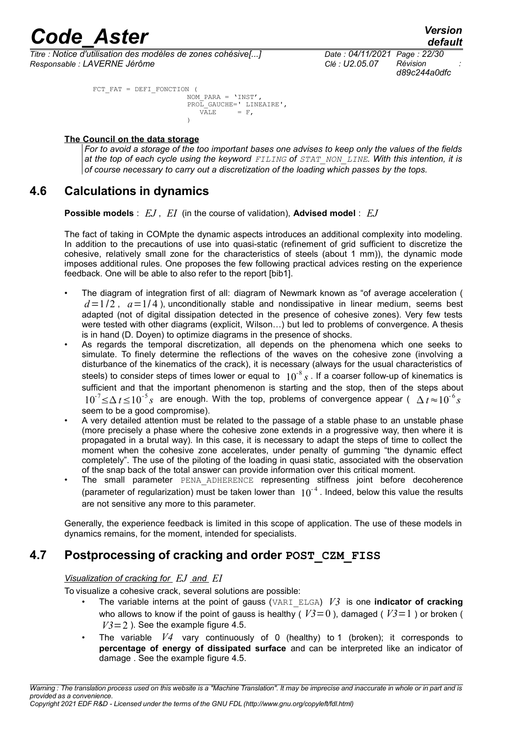*Titre : Notice d'utilisation des modèles de zones cohésive[...] Date : 04/11/2021 Page : 22/30 Responsable : LAVERNE Jérôme Clé : U2.05.07 Révision :*

*d89c244a0dfc*

FCT FAT = DEFI\_FONCTION ( NOM PARA =  $'INST'$ , PROL GAUCHE=' LINEAIRE',  $V\overline{A}LE$  = F, )

#### **The Council on the data storage**

*For to avoid a storage of the too important bases one advises to keep only the values of the fields at the top of each cycle using the keyword FILING of STAT\_NON\_LINE. With this intention, it is of course necessary to carry out a discretization of the loading which passes by the tops.*

### **4.6 Calculations in dynamics**

<span id="page-21-1"></span>**Possible models** : *EJ* , *EI* (in the course of validation), **Advised model** : *EJ*

The fact of taking in COMpte the dynamic aspects introduces an additional complexity into modeling. In addition to the precautions of use into quasi-static (refinement of grid sufficient to discretize the cohesive, relatively small zone for the characteristics of steels (about 1 mm)), the dynamic mode imposes additional rules. One proposes the few following practical advices resting on the experience feedback. One will be able to also refer to the report [bib1].

- The diagram of integration first of all: diagram of Newmark known as "of average acceleration (  $d=1/2$ ,  $a=1/4$ ), unconditionally stable and nondissipative in linear medium, seems best adapted (not of digital dissipation detected in the presence of cohesive zones). Very few tests were tested with other diagrams (explicit, Wilson…) but led to problems of convergence. A thesis is in hand (D. Doyen) to optimize diagrams in the presence of shocks.
- As regards the temporal discretization, all depends on the phenomena which one seeks to simulate. To finely determine the reflections of the waves on the cohesive zone (involving a disturbance of the kinematics of the crack), it is necessary (always for the usual characteristics of steels) to consider steps of times lower or equal to  $10^{-8} s$  . If a coarser follow-up of kinematics is sufficient and that the important phenomenon is starting and the stop, then of the steps about  $10^{-7} \le \Delta t \le 10^{-5}$  *s* are enough. With the top, problems of convergence appear (  $\Delta t \approx 10^{-6}$  *s* seem to be a good compromise).
- A very detailed attention must be related to the passage of a stable phase to an unstable phase (more precisely a phase where the cohesive zone extends in a progressive way, then where it is propagated in a brutal way). In this case, it is necessary to adapt the steps of time to collect the moment when the cohesive zone accelerates, under penalty of gumming "the dynamic effect completely". The use of the piloting of the loading in quasi static, associated with the observation of the snap back of the total answer can provide information over this critical moment.
- The small parameter PENA\_ADHERENCE representing stiffness joint before decoherence (parameter of regularization) must be taken lower than  $10^{-4}$  . Indeed, below this value the results are not sensitive any more to this parameter.

Generally, the experience feedback is limited in this scope of application. The use of these models in dynamics remains, for the moment, intended for specialists.

### **4.7 Postprocessing of cracking and order POST\_CZM\_FISS**

#### <span id="page-21-0"></span>*Visualization of cracking for EJ and EI*

To visualize a cohesive crack, several solutions are possible:

- The variable interns at the point of gauss (VARI ELGA)  $V3$  is one **indicator of cracking** who allows to know if the point of gauss is healthy ( $V3=0$ ), damaged ( $V3=1$ ) or broken (  $V3=2$ ). See the example figure 4.5.
- The variable *V4* vary continuously of 0 (healthy) to 1 (broken); it corresponds to **percentage of energy of dissipated surface** and can be interpreted like an indicator of damage . See the example figure 4.5.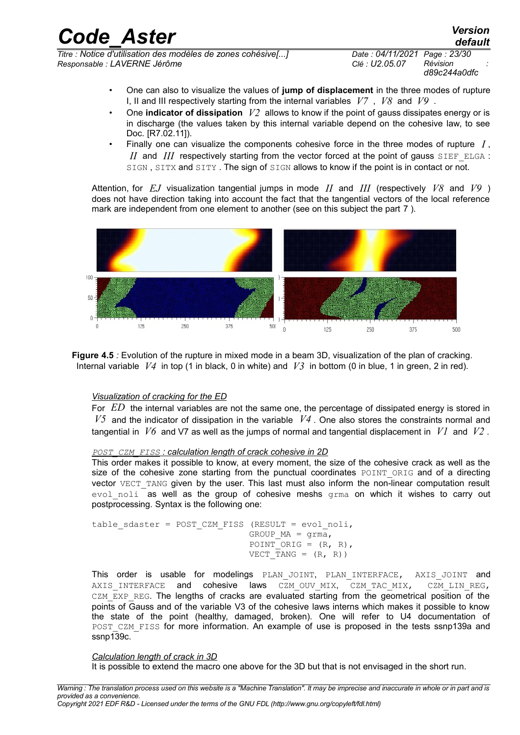*Titre : Notice d'utilisation des modèles de zones cohésive[...] Date : 04/11/2021 Page : 23/30 Responsable : LAVERNE Jérôme Clé : U2.05.07 Révision :*

*d89c244a0dfc*

- One can also to visualize the values of **jump of displacement** in the three modes of rupture I, II and III respectively starting from the internal variables *V7* , *V8* and *V9* .
- One **indicator of dissipation** *V2* allows to know if the point of gauss dissipates energy or is in discharge (the values taken by this internal variable depend on the cohesive law, to see Doc. [R7.02.11]).
- Finally one can visualize the components cohesive force in the three modes of rupture *I* , *II* and *III* respectively starting from the vector forced at the point of gauss SIEF ELGA : SIGN, SITX and SITY. The sign of SIGN allows to know if the point is in contact or not.

Attention, for *EJ* visualization tangential jumps in mode *II* and *III* (respectively *V8* and *V9* ) does not have direction taking into account the fact that the tangential vectors of the local reference mark are independent from one element to another (see on this subject the part [7](#page-6-0) ).



**Figure 4.5** *:* Evolution of the rupture in mixed mode in a beam 3D, visualization of the plan of cracking. Internal variable *V4* in top (1 in black, 0 in white) and *V3* in bottom (0 in blue, 1 in green, 2 in red).

#### *Visualization of cracking for the ED*

For *ED* the internal variables are not the same one, the percentage of dissipated energy is stored in *V5* and the indicator of dissipation in the variable *V4* . One also stores the constraints normal and tangential in *V6* and V7 as well as the jumps of normal and tangential displacement in *V1* and *V2* .

#### *POST\_CZM\_FISS : calculation length of crack cohesive in 2D*

This order makes it possible to know, at every moment, the size of the cohesive crack as well as the size of the cohesive zone starting from the punctual coordinates POINT ORIG and of a directing vector VECT TANG given by the user. This last must also inform the non-linear computation result evol noli as well as the group of cohesive meshs  $\sigma$  and on which it wishes to carry out postprocessing. Syntax is the following one:

```
table sdaster = POST CZM FISS (RESULT = evol noli,
                                 GROUP MA = \text{grma},
                                 POINT ORIG = (R, R),
                                 VECT TANG = (R, R))
```
This order is usable for modelings PLAN JOINT, PLAN INTERFACE, AXIS JOINT and AXIS INTERFACE and cohesive laws CZM OUV MIX, CZM TAC MIX, CZM LIN REG, CZM EXP REG. The lengths of cracks are evaluated starting from the geometrical position of the points of Gauss and of the variable V3 of the cohesive laws interns which makes it possible to know the state of the point (healthy, damaged, broken). One will refer to U4 documentation of POST CZM FISS for more information. An example of use is proposed in the tests ssnp139a and ssnp139c.

#### *Calculation length of crack in 3D*

It is possible to extend the macro one above for the 3D but that is not envisaged in the short run.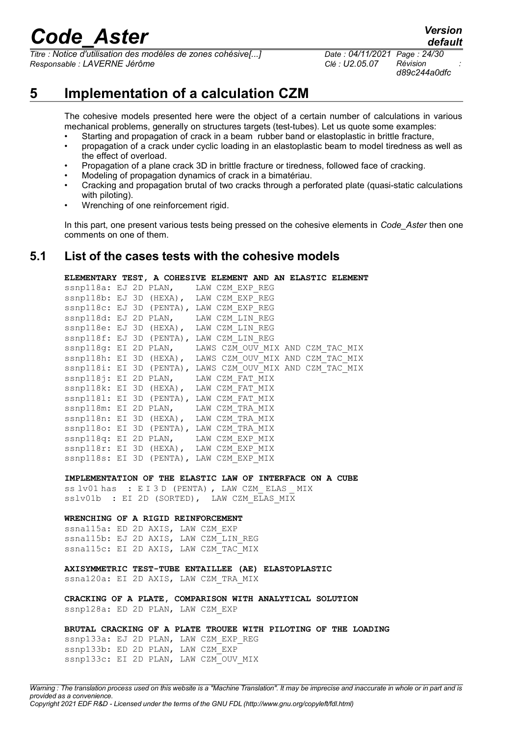*Titre : Notice d'utilisation des modèles de zones cohésive[...] Date : 04/11/2021 Page : 24/30 Responsable : LAVERNE Jérôme Clé : U2.05.07 Révision :*

*d89c244a0dfc*

*default*

### **5 Implementation of a calculation CZM**

<span id="page-23-1"></span>The cohesive models presented here were the object of a certain number of calculations in various mechanical problems, generally on structures targets (test-tubes). Let us quote some examples:

- Starting and propagation of crack in a beam rubber band or elastoplastic in brittle fracture,
- propagation of a crack under cyclic loading in an elastoplastic beam to model tiredness as well as the effect of overload.
- Propagation of a plane crack 3D in brittle fracture or tiredness, followed face of cracking.
- Modeling of propagation dynamics of crack in a bimatériau.
- Cracking and propagation brutal of two cracks through a perforated plate (quasi-static calculations with piloting).
- Wrenching of one reinforcement rigid.

In this part, one present various tests being pressed on the cohesive elements in *Code\_Aster* then one comments on one of them.

#### **5.1 List of the cases tests with the cohesive models**

<span id="page-23-0"></span>**ELEMENTARY TEST, A COHESIVE ELEMENT AND AN ELASTIC ELEMENT**

| ssnp118a: EJ 2D PLAN, |  | LAW CZM EXP REG                                           |
|-----------------------|--|-----------------------------------------------------------|
|                       |  | ssnp118b: EJ 3D (HEXA), LAW CZM EXP REG                   |
|                       |  | ssnp118c: EJ 3D (PENTA), LAW CZM EXP REG                  |
|                       |  | ssnp118d: EJ 2D PLAN, LAW CZM LIN REG                     |
|                       |  | ssnp118e: EJ 3D (HEXA), LAW CZM LIN REG                   |
|                       |  | ssnp118f: EJ 3D (PENTA), LAW CZM LIN REG                  |
|                       |  | ssnp118g: EI 2D PLAN, LAWS CZM OUV MIX AND CZM TAC MIX    |
|                       |  | ssnp118h: EI 3D (HEXA), LAWS CZM OUV MIX AND CZM TAC MIX  |
|                       |  | ssnp118i: EI 3D (PENTA), LAWS CZM OUV MIX AND CZM TAC MIX |
|                       |  | ssnp118j: EI 2D PLAN, LAW CZM FAT MIX                     |
|                       |  | ssnp118k: EI 3D (HEXA), LAW CZM FAT MIX                   |
|                       |  | ssnp1181: EI 3D (PENTA), LAW CZM FAT MIX                  |
|                       |  | ssnp118m: EI 2D PLAN, LAW CZM TRA MIX                     |
|                       |  | ssnp118n: EI 3D (HEXA), LAW CZM TRA MIX                   |
|                       |  | ssnp118o: EI 3D (PENTA), LAW CZM TRA MIX                  |
|                       |  | ssnp118q: EI 2D PLAN, LAW CZM EXP MIX                     |
|                       |  | ssnp118r: EI 3D (HEXA), LAW CZM EXP MIX                   |
|                       |  | ssnp118s: EI 3D (PENTA), LAW CZM EXP MIX                  |
|                       |  |                                                           |

**IMPLEMENTATION OF THE ELASTIC LAW OF INTERFACE ON A CUBE**

ss lv01 has : E I 3 D (PENTA), LAW CZM\_ ELAS \_ MIX sslv01b : EI 2D (SORTED), LAW CZM ELAS MIX

#### **WRENCHING OF A RIGID REINFORCEMENT**

ssna115a: ED 2D AXIS, LAW CZM EXP ssna115b: EJ 2D AXIS, LAW CZM LIN REG ssna115c: EI 2D AXIS, LAW CZM\_TAC\_MIX

#### **AXISYMMETRIC TEST-TUBE ENTAILLEE (AE) ELASTOPLASTIC**

ssna120a: EI 2D AXIS, LAW CZM\_TRA\_MIX

**CRACKING OF A PLATE, COMPARISON WITH ANALYTICAL SOLUTION**

ssnp128a: ED 2D PLAN, LAW CZM EXP

**BRUTAL CRACKING OF A PLATE TROUEE WITH PILOTING OF THE LOADING** ssnp133a: EJ 2D PLAN, LAW CZM EXP REG ssnp133b: ED 2D PLAN, LAW CZM\_EXP ssnp133c: EI 2D PLAN, LAW CZM OUV MIX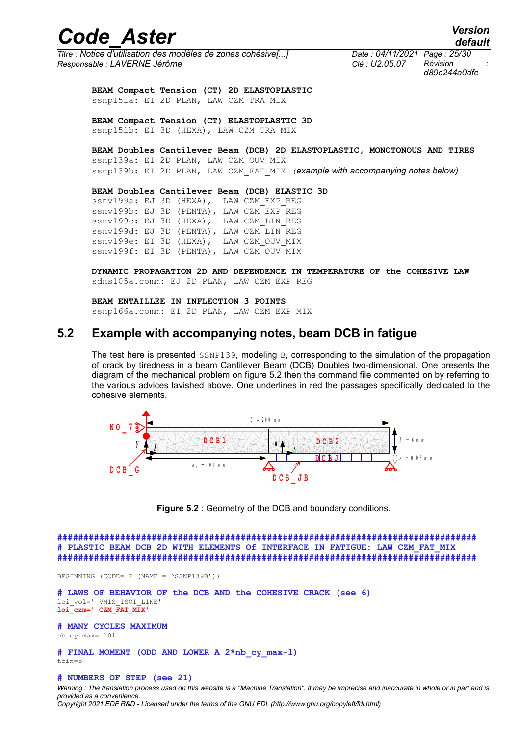*Titre : Notice d'utilisation des modèles de zones cohésive[...] Date : 04/11/2021 Page : 25/30 Responsable : LAVERNE Jérôme Clé : U2.05.07 Révision :*

*d89c244a0dfc*

**BEAM Compact Tension (CT) 2D ELASTOPLASTIC** ssnp151a: EI 2D PLAN, LAW CZM\_TRA\_MIX

**BEAM Compact Tension (CT) ELASTOPLASTIC 3D** ssnp151b: EI 3D (HEXA), LAW CZM\_TRA\_MIX

**BEAM Doubles Cantilever Beam (DCB) 2D ELASTOPLASTIC, MONOTONOUS AND TIRES** ssnp139a: EI 2D PLAN, LAW CZM OUV MIX ssnp139b: EI 2D PLAN, LAW CZM\_FAT\_MIX *(example with accompanying notes below)*

**BEAM Doubles Cantilever Beam (DCB) ELASTIC 3D** ssnv199a: EJ 3D (HEXA), LAW CZM\_EXP\_REG ssnv199b: EJ 3D (PENTA), LAW CZM EXP REG ssnv199c: EJ 3D (HEXA), LAW CZM\_LIN\_REG ssnv199d: EJ 3D (PENTA), LAW CZM\_LIN\_REG ssnv199e: EI 3D (HEXA), LAW CZM\_OUV\_MIX ssnv199f: EI 3D (PENTA), LAW CZM OUV MIX

**DYNAMIC PROPAGATION 2D AND DEPENDENCE IN TEMPERATURE OF the COHESIVE LAW**  sdns105a.comm: EJ 2D PLAN, LAW CZM EXP REG

**BEAM ENTAILLEE IN INFLECTION 3 POINTS**  ssnp166a.comm: EI 2D PLAN, LAW CZM EXP MIX

#### **5.2 Example with accompanying notes, beam DCB in fatigue**

<span id="page-24-0"></span>The test here is presented SSNP139, modeling B, corresponding to the simulation of the propagation of crack by tiredness in a beam Cantilever Beam (DCB) Doubles two-dimensional. One presents the diagram of the mechanical problem on figure 5.2 then the command file commented on by referring to the various advices lavished above. One underlines in red the passages specifically dedicated to the cohesive elements.



**Figure 5.2** : Geometry of the DCB and boundary conditions.

#### **################################################################################ # PLASTIC BEAM DCB 2D WITH ELEMENTS Of INTERFACE IN FATIGUE: LAW CZM\_FAT\_MIX ################################################################################**

BEGINNING (CODE= F (NAME = 'SSNP139B'))

**# LAWS OF BEHAVIOR OF the DCB AND the COHESIVE CRACK (see [6\)](#page-5-0)** loi\_vol=' VMIS\_ISOT\_LINE' **loi\_czm=' CZM\_FAT\_MIX'**

**# MANY CYCLES MAXIMUM** nb\_cy\_max= 101

**# FINAL MOMENT (ODD AND LOWER A 2\*nb\_cy\_max-1)**  $t.f$ in=5

#### **# NUMBERS OF STEP (see [21\)](#page-20-0)**

*Warning : The translation process used on this website is a "Machine Translation". It may be imprecise and inaccurate in whole or in part and is provided as a convenience. Copyright 2021 EDF R&D - Licensed under the terms of the GNU FDL (http://www.gnu.org/copyleft/fdl.html)*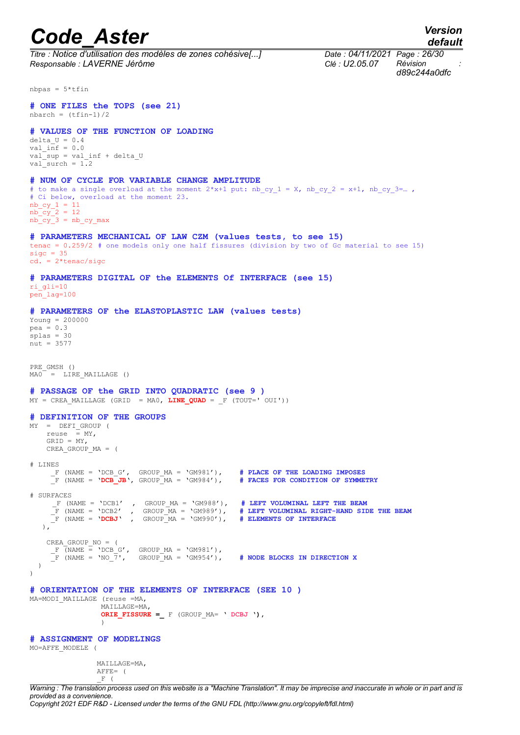*Titre : Notice d'utilisation des modèles de zones cohésive[...] Date : 04/11/2021 Page : 26/30 Responsable : LAVERNE Jérôme Clé : U2.05.07 Révision :*

*default*

*d89c244a0dfc*

 $nbps = 5*tfin$ 

**# ONE FILES the TOPS (see [21\)](#page-20-0)**  $nbarch = (tfin-1)/2$ 

#### **# VALUES OF THE FUNCTION OF LOADING**

delta  $U = 0.4$  $val$ <sub> $in$ f</sub> =  $0.0$  $val$ sup = val inf + delta U val $\sqrt{\text{such}} = 1.2$ 

#### **# NUM OF CYCLE FOR VARIABLE CHANGE AMPLITUDE**

# to make a single overload at the moment  $2*x+1$  put: nb cy  $1 = X$ , nb cy  $2 = x+1$ , nb cy  $3=x$ . # Ci below, overload at the moment 23.  $nb_{y_1} - ny_1 = 11$  $nb_{cy}$  = 12  $nb\bar{c}y\bar{3} = nb\bar{c}y\bar{m}ax$ 

#### **# PARAMETERS MECHANICAL OF LAW CZM (values tests, to see [15\)](#page-14-1)**

tenac = 0.259/2 # one models only one half fissures (division by two of Gc material to see [15\)](#page-14-1)  $sigc = 35$  $cd. = 2*tenac/sige$ 

#### **# PARAMETERS DIGITAL OF the ELEMENTS Of INTERFACE (see [15\)](#page-14-0)**

ri\_gli=10  $pen$ <sup>-100</sup>

#### **# PARAMETERS OF the ELASTOPLASTIC LAW (values tests)**

Young = 200000  $pea = 0.3$  $splas = 30$  $nut = 3577$ 

PRE GMSH ()  $MAO$  = LIRE MAILLAGE ()

#### **# PASSAGE OF the GRID INTO QUADRATIC (see [9](#page-8-2) )**  $MY = CREA MAILLAGE (GRID = MA0, LINE QUAD = F (TOUT=' OUT'))$

#### **# DEFINITION OF THE GROUPS**

```
MY = DEFI_GROUP (
    reuse \equiv MY,
     GRID = MY, 
     CREA_GROUP_MA = (
# LINES
 _F (NAME = 'DCB_G', GROUP_MA = 'GM981'), # PLACE OF THE LOADING IMPOSES 
 _F (NAME = 'DCB_JB', GROUP_MA = 'GM984'), # FACES FOR CONDITION OF SYMMETRY
# SURFACES 
 _F (NAME = 'DCB1' , GROUP_MA = 'GM988'), # LEFT VOLUMINAL LEFT THE BEAM
 _F (NAME = 'DCB2' , GROUP_MA = 'GM989'), # LEFT VOLUMINAL RIGHT-HAND SIDE THE BEAM
 _F (NAME = 'DCBJ' , GROUP_MA = 'GM990'), # ELEMENTS OF INTERFACE
),
     CREA_GROUP_NO = (
     \begin{array}{rcl} & F\ \overline{(\texttt{NAME}\ \equiv\ \ 'DCB\ \dot G'}, \quad \texttt{GROUP\_MA}\ =\ \ 'GM981')\ ,\\ & F\ \ (\texttt{NAME}\ =\ \ 'NO\_7'\ , \quad \quad \texttt{GROUP\_MA}\ =\ \ 'GM954')\ , \end{array}# NODE BLOCKS IN DIRECTION X
   )
)
# ORIENTATION OF THE ELEMENTS OF INTERFACE (SEE 10 )
MA=MODI MAILLAGE (reuse =MA.
                    MAILLAGE=MA,
                     ORIE_FISSURE =_ F (GROUP_MA= ' DCBJ '), 
 )
# ASSIGNMENT OF MODELINGS
```
MO=AFFE\_MODELE (

 MAILLAGE=MA, AFFE= (  $F$  (

*Warning : The translation process used on this website is a "Machine Translation". It may be imprecise and inaccurate in whole or in part and is provided as a convenience.*

*Copyright 2021 EDF R&D - Licensed under the terms of the GNU FDL (http://www.gnu.org/copyleft/fdl.html)*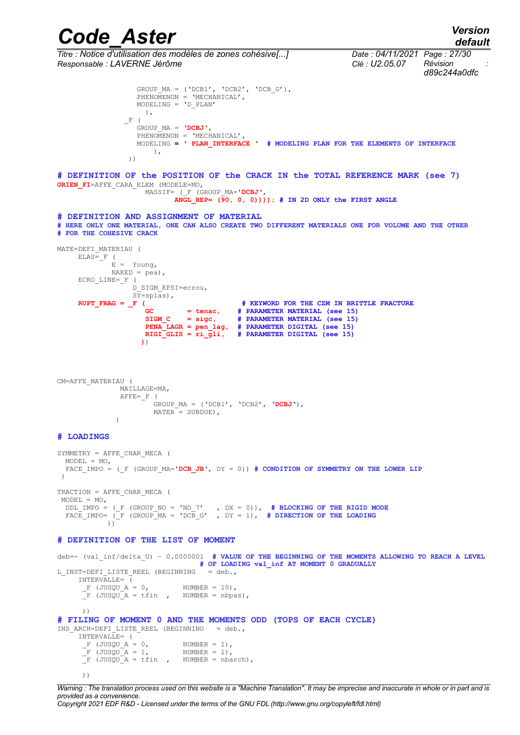*default*

```
Code_Aster Version
Titre : Notice d'utilisation des modèles de zones cohésive[...] Date : 04/11/2021 Page : 27/30
```
*Responsable : LAVERNE Jérôme Clé : U2.05.07 Révision :*

*d89c244a0dfc*

```
GROUP MA = ('DCB1', 'DCB2', 'DCB G').PHENO\overline{M}ENON = 'MECHANICAL',MODELING = 'D_PLAN'
                   ),
               _F ( 
                 GROUP_MA = 'DCBJ',
                PHENOMENON = 'MECHANICAL',
                 MODELING = ' PLAN_INTERFACE ' # MODELING PLAN FOR THE ELEMENTS OF INTERFACE
\, ), \, ))
# DEFINITION OF the POSITION OF the CRACK IN the TOTAL REFERENCE MARK (see 7)
ORIEN_FI=AFFE_CARA_ELEM (MODELE=MO,
                   MASSIF= (_F (GROUP_MA='DCBJ',
                         ANGL_REP= (90, 0, 0)))); # IN 2D ONLY the FIRST ANGLE
# DEFINITION AND ASSIGNMENT OF MATERIAL
# HERE ONLY ONE MATERIAL, ONE CAN ALSO CREATE TWO DIFFERENT MATERIALS ONE FOR VOLUME AND THE OTHER 
# FOR THE COHESIVE CRACK
MATE=DEFI_MATERIAU (
     ELAS=_F ( 
           E = Young,NAKED = pea),
    ECRO LINE=_F (
               D_SIGM_EPSI=ecrou,
               SY=splas,
    RUPT FRAG = F ( \qquad # KEYWORD FOR THE CZM IN BRITTLE FRACTURE
 GC = tenac, # PARAMETER MATERIAL (see 15)
 SIGM_C = sigc, # PARAMETER MATERIAL (see 15) 
 PENA_LAGR = pen_lag, # PARAMETER DIGITAL (see 15)
                  RIGI_GLIS = ri_gli, # PARAMETER DIGITAL (see 15) 
 ))
CM=AFFE_MATERIAU (
            MATILAGE=MA.
             AFFE= F (
                    GROUP_MA = ('DCB1', 'DCB2', 'DCBJ'),
                   MATER = SUBDUE),
 )
# LOADINGS
SYMMETRY = AFFE_CHAR_MECA (
 MODEL = MO,
  FACE_IMPO = (_F (GROUP_MA='DCB_JB', DY = 0)) # CONDITION OF SYMMETRY ON THE LOWER LIP
\lambdaTRACTION = AFFE_CHAR_MECA (
MODEL = MO,DDL IMPO = (F (GROUP NO = 'NO 7' , DX = 0)), # BLOCKING OF THE RIGID MODE
FACE IMPO= (F (GROUP MA = 'DCB G' , DY = 1), # DIRECTION OF THE LOADING
))
# DEFINITION OF THE LIST OF MOMENT 
deb=- (val_inf/delta_U) – 0.0000001 # VALUE OF THE BEGINNING OF THE MOMENTS ALLOWING TO REACH A LEVEL 
 # OF LOADING val_inf AT MOMENT 0 GRADUALLY
L_INST=DEFI_LISTE_REEL (BEGINNING = deb.,
    INTERVALLE= (<br>
F (JUSQU_A = 0,
F (JUSQU A = 0, NUMBER = 10),
F (JUSQU A = tfin , NUMBER = nbpas),
      ))
# FILING OF MOMENT 0 AND THE MOMENTS ODD (TOPS OF EACH CYCLE)
```

```
INS ARCH=DEFI_LISTE_REEL (BEGINNING = deb.,
      INTERVALLE= (
F (JUSQU A = 0, NUMBER = 1),
F (JUSQU A = 1, NUMBER = 1),
      \begin{bmatrix} -F & (JUSQU_A = 1, & NUMBER = 1), \\ -F & (JUSQU_A = tfin, & NUMBER = nbarch), \end{bmatrix} ))
```
*Warning : The translation process used on this website is a "Machine Translation". It may be imprecise and inaccurate in whole or in part and is provided as a convenience. Copyright 2021 EDF R&D - Licensed under the terms of the GNU FDL (http://www.gnu.org/copyleft/fdl.html)*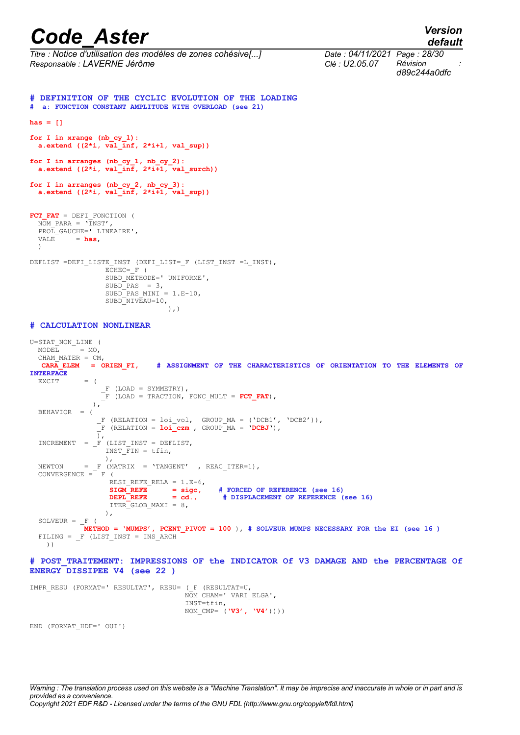*default*

*Titre : Notice d'utilisation des modèles de zones cohésive[...] Date : 04/11/2021 Page : 28/30 Responsable : LAVERNE Jérôme Clé : U2.05.07 Révision :*

*d89c244a0dfc*

**# DEFINITION OF THE CYCLIC EVOLUTION OF THE LOADING # a: FUNCTION CONSTANT AMPLITUDE WITH OVERLOAD (see [21\)](#page-20-0) has = [] for I in xrange (nb\_cy\_1): a.extend ((2\*i, val\_inf, 2\*i+1, val\_sup)) for I in arranges (nb\_cy\_1, nb\_cy\_2):** a.extend  $((2 \times i, \text{ val_inf}, 2 \times i+1, \text{ val_sum}))$ **for I in arranges (nb\_cy\_2, nb\_cy\_3):** a.extend  $((2 * i, val_inf, 2 * i+1, val_sum))$ **FCT\_FAT** = DEFI\_FONCTION ( NOM PARA =  $\sqrt{I}NST'$ , PROL\_GAUCHE=' LINEAIRE',  $V A L E$  = **has**, ) DEFLIST =DEFI\_LISTE\_INST (DEFI\_LIST=\_F (LIST\_INST =L\_INST),  $\overline{ECHEC} = F$  ( SUBD\_METHODE=' UNIFORME',  $SUBD$   $PAS$  = 3, SUBD PAS MINI =  $1.E-10$ ,

SUBD\_NIVEAU=10,

#### **# CALCULATION NONLINEAR**

 $)$ ,  $)$ 

```
U=STAT_NON_LINE ( 
 MODEL = MO,
 CHAM_MATER = CM,<br>CARA ELEM = ORIEN FI,
                            # ASSIGNMENT OF THE CHARACTERISTICS OF ORIENTATION TO THE ELEMENTS OF
INTERFACE
 EXCIT = (-F (LOAD = SYMMETRY),
               \overline{F} (LOAD = TRACTION, FONC MULT = FCT FAT),
              ),
  BEHAVIOR = (
              F (RELATION = loi_vol, GROUP_MA = ('DCB1', 'DCB2')),
              \frac{F}{D} (RELATION = loi_czm , GROUP_MA = 'DCBJ'),
\overline{\phantom{a}}INCREMENT = F (LIST INST = DEFINIST,INST FIN = tfin,), \overline{\phantom{a}}NEWTON = F (MATRIX = 'TANGENT', REAC ITER=1),
 CONVERGENCE = _F (
                 RESI REFE RELA = 1.E-6,
 SIGM_REFE = sigc, # FORCED OF REFERENCE (see 16)
 DEPL_REFE = cd., # DISPLACEMENT OF REFERENCE (see 16)
                 ITER GLOB MAXI = 8,
\,), \,SOLVEUR = _F (
            METHOD = 'MUMPS', PCENT_PIVOT = 100 ), # SOLVEUR MUMPS NECESSARY FOR the EI (see 16 )
  FILING = _F (LIST_INST = INS_ARCH
    ))
# POST_TRAITEMENT: IMPRESSIONS OF the INDICATOR Of V3 DAMAGE AND the PERCENTAGE Of
ENERGY DISSIPEE V4 (see 22 )
```
IMPR\_RESU (FORMAT=' RESULTAT', RESU= (\_F (RESULTAT=U, NOM\_CHAM=' VARI\_ELGA', INST=tfin, NOM\_CMP= (**'V3', 'V4'**))))

END (FORMAT\_HDF=' OUI')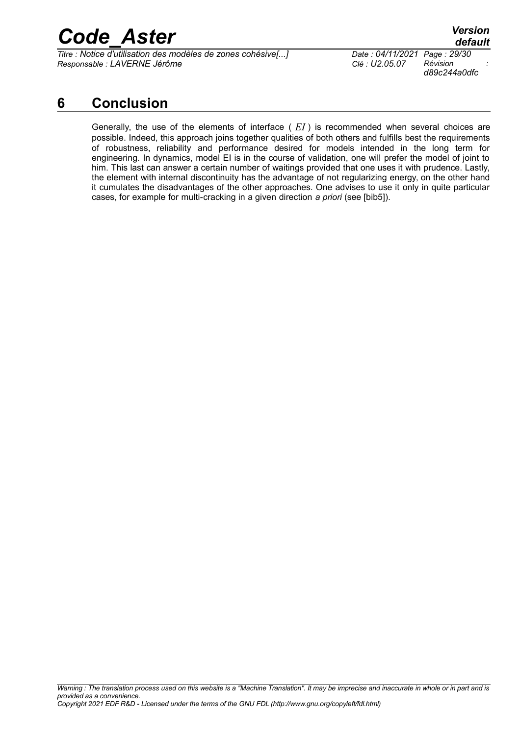*Titre : Notice d'utilisation des modèles de zones cohésive[...] Date : 04/11/2021 Page : 29/30 Responsable : LAVERNE Jérôme Clé : U2.05.07 Révision :*

*d89c244a0dfc*

## **6 Conclusion**

<span id="page-28-0"></span>Generally, the use of the elements of interface ( *EI* ) is recommended when several choices are possible. Indeed, this approach joins together qualities of both others and fulfills best the requirements of robustness, reliability and performance desired for models intended in the long term for engineering. In dynamics, model EI is in the course of validation, one will prefer the model of joint to him. This last can answer a certain number of waitings provided that one uses it with prudence. Lastly, the element with internal discontinuity has the advantage of not regularizing energy, on the other hand it cumulates the disadvantages of the other approaches. One advises to use it only in quite particular cases, for example for multi-cracking in a given direction *a priori* (see [bib5]).